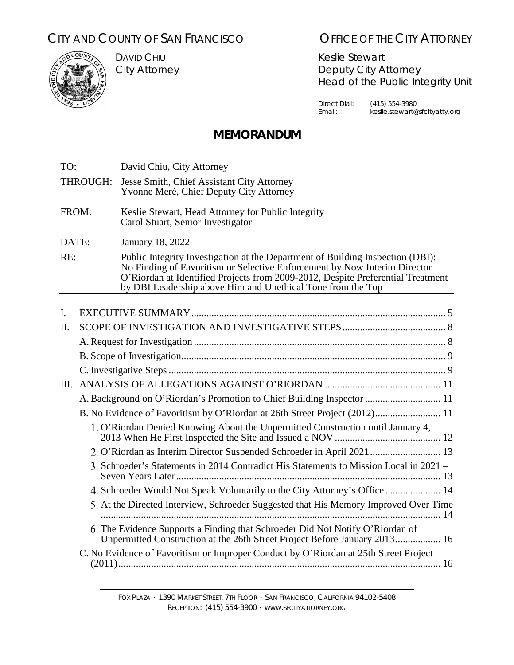# CITY AND COUNTY OF SAN FRANCISCO **OFFICE OF THE CITY ATTORNEY**



DAVID CHIU City Attorney

Keslie Stewart Deputy City Attorney Head of the Public Integrity Unit

Direct Dial: (415) 554-3980<br>Email: keslie.stewart@ keslie.stewart@sfcityatty.org

# **MEMORANDUM**

| TO:      |                                                                            | David Chiu, City Attorney                                                                                                                                                                                                                                                                                     |  |
|----------|----------------------------------------------------------------------------|---------------------------------------------------------------------------------------------------------------------------------------------------------------------------------------------------------------------------------------------------------------------------------------------------------------|--|
| THROUGH: |                                                                            | Jesse Smith, Chief Assistant City Attorney<br>Yvonne Meré, Chief Deputy City Attorney                                                                                                                                                                                                                         |  |
| FROM:    |                                                                            | Keslie Stewart, Head Attorney for Public Integrity<br>Carol Stuart, Senior Investigator                                                                                                                                                                                                                       |  |
| DATE:    |                                                                            | <b>January 18, 2022</b>                                                                                                                                                                                                                                                                                       |  |
| RE:      |                                                                            | Public Integrity Investigation at the Department of Building Inspection (DBI):<br>No Finding of Favoritism or Selective Enforcement by Now Interim Director<br>O'Riordan at Identified Projects from 2009-2012, Despite Preferential Treatment<br>by DBI Leadership above Him and Unethical Tone from the Top |  |
|          |                                                                            |                                                                                                                                                                                                                                                                                                               |  |
| I.       |                                                                            |                                                                                                                                                                                                                                                                                                               |  |
| Π.       |                                                                            |                                                                                                                                                                                                                                                                                                               |  |
|          |                                                                            |                                                                                                                                                                                                                                                                                                               |  |
|          |                                                                            |                                                                                                                                                                                                                                                                                                               |  |
|          |                                                                            |                                                                                                                                                                                                                                                                                                               |  |
| III.     |                                                                            |                                                                                                                                                                                                                                                                                                               |  |
|          |                                                                            | A. Background on O'Riordan's Promotion to Chief Building Inspector  11                                                                                                                                                                                                                                        |  |
|          | B. No Evidence of Favoritism by O'Riordan at 26th Street Project (2012) 11 |                                                                                                                                                                                                                                                                                                               |  |
|          |                                                                            | 1. O'Riordan Denied Knowing About the Unpermitted Construction until January 4,                                                                                                                                                                                                                               |  |
|          |                                                                            | 2. O'Riordan as Interim Director Suspended Schroeder in April 2021  13                                                                                                                                                                                                                                        |  |
|          |                                                                            | 3. Schroeder's Statements in 2014 Contradict His Statements to Mission Local in 2021 -                                                                                                                                                                                                                        |  |
|          |                                                                            | 4. Schroeder Would Not Speak Voluntarily to the City Attorney's Office  14                                                                                                                                                                                                                                    |  |
|          |                                                                            | 5. At the Directed Interview, Schroeder Suggested that His Memory Improved Over Time                                                                                                                                                                                                                          |  |
|          |                                                                            | 6. The Evidence Supports a Finding that Schroeder Did Not Notify O'Riordan of<br>Unpermitted Construction at the 26th Street Project Before January 2013 16                                                                                                                                                   |  |
|          |                                                                            | C. No Evidence of Favoritism or Improper Conduct by O'Riordan at 25th Street Project                                                                                                                                                                                                                          |  |

FOX PLAZA ∙ 1390 MARKET STREET, 7TH FLOOR ∙ SAN FRANCISCO, CALIFORNIA 94102-5408 RECEPTION: (415) 554-3900 ∙ WWW.SFCITYATTORNEY.ORG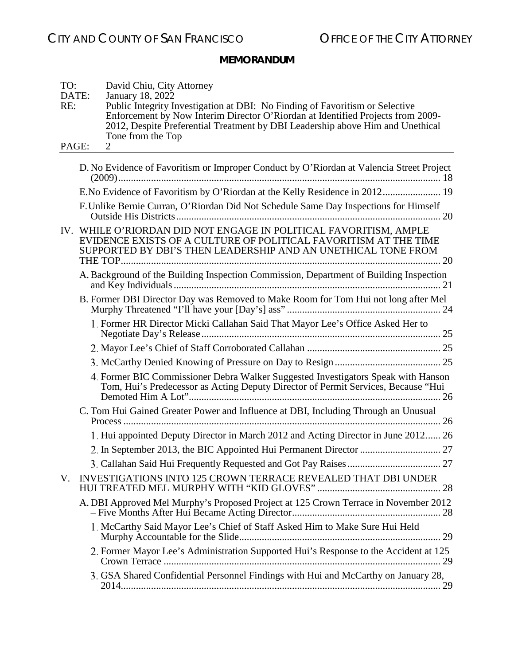| TO:<br>DATE:<br>RE: | David Chiu, City Attorney<br>January 18, 2022<br>Public Integrity Investigation at DBI: No Finding of Favoritism or Selective<br>Enforcement by Now Interim Director O'Riordan at Identified Projects from 2009-<br>2012, Despite Preferential Treatment by DBI Leadership above Him and Unethical<br>Tone from the Top |
|---------------------|-------------------------------------------------------------------------------------------------------------------------------------------------------------------------------------------------------------------------------------------------------------------------------------------------------------------------|
| PAGE:               | $\overline{2}$                                                                                                                                                                                                                                                                                                          |
|                     | D. No Evidence of Favoritism or Improper Conduct by O'Riordan at Valencia Street Project                                                                                                                                                                                                                                |
|                     | E.No Evidence of Favoritism by O'Riordan at the Kelly Residence in 2012 19                                                                                                                                                                                                                                              |
|                     | F. Unlike Bernie Curran, O'Riordan Did Not Schedule Same Day Inspections for Himself                                                                                                                                                                                                                                    |
|                     | IV. WHILE O'RIORDAN DID NOT ENGAGE IN POLITICAL FAVORITISM, AMPLE<br>EVIDENCE EXISTS OF A CULTURE OF POLITICAL FAVORITISM AT THE TIME<br>SUPPORTED BY DBI'S THEN LEADERSHIP AND AN UNETHICAL TONE FROM                                                                                                                  |
|                     | A. Background of the Building Inspection Commission, Department of Building Inspection                                                                                                                                                                                                                                  |
|                     | B. Former DBI Director Day was Removed to Make Room for Tom Hui not long after Mel                                                                                                                                                                                                                                      |
|                     | 1. Former HR Director Micki Callahan Said That Mayor Lee's Office Asked Her to                                                                                                                                                                                                                                          |
|                     |                                                                                                                                                                                                                                                                                                                         |
|                     |                                                                                                                                                                                                                                                                                                                         |
|                     | 4. Former BIC Commissioner Debra Walker Suggested Investigators Speak with Hanson<br>Tom, Hui's Predecessor as Acting Deputy Director of Permit Services, Because "Hui                                                                                                                                                  |
|                     | C. Tom Hui Gained Greater Power and Influence at DBI, Including Through an Unusual                                                                                                                                                                                                                                      |
|                     | 1. Hui appointed Deputy Director in March 2012 and Acting Director in June 2012 26                                                                                                                                                                                                                                      |
|                     |                                                                                                                                                                                                                                                                                                                         |
|                     |                                                                                                                                                                                                                                                                                                                         |
| V.                  | INVESTIGATIONS INTO 125 CROWN TERRACE REVEALED THAT DBI UNDER                                                                                                                                                                                                                                                           |
|                     | A. DBI Approved Mel Murphy's Proposed Project at 125 Crown Terrace in November 2012                                                                                                                                                                                                                                     |
|                     | 1. McCarthy Said Mayor Lee's Chief of Staff Asked Him to Make Sure Hui Held                                                                                                                                                                                                                                             |
|                     | 2. Former Mayor Lee's Administration Supported Hui's Response to the Accident at 125                                                                                                                                                                                                                                    |
|                     | 3. GSA Shared Confidential Personnel Findings with Hui and McCarthy on January 28,                                                                                                                                                                                                                                      |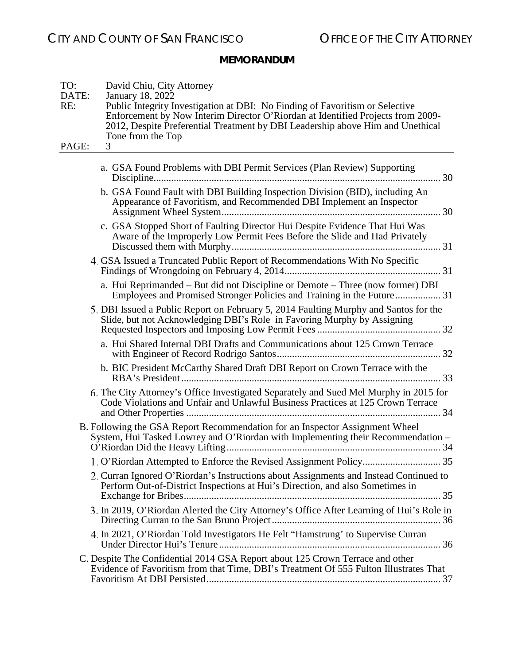| TO:<br>DATE:<br>RE: | David Chiu, City Attorney<br>January 18, 2022<br>Public Integrity Investigation at DBI: No Finding of Favoritism or Selective<br>Enforcement by Now Interim Director O'Riordan at Identified Projects from 2009-<br>2012, Despite Preferential Treatment by DBI Leadership above Him and Unethical<br>Tone from the Top |
|---------------------|-------------------------------------------------------------------------------------------------------------------------------------------------------------------------------------------------------------------------------------------------------------------------------------------------------------------------|
| PAGE:               | 3                                                                                                                                                                                                                                                                                                                       |
|                     | a. GSA Found Problems with DBI Permit Services (Plan Review) Supporting                                                                                                                                                                                                                                                 |
|                     | b. GSA Found Fault with DBI Building Inspection Division (BID), including An<br>Appearance of Favoritism, and Recommended DBI Implement an Inspector                                                                                                                                                                    |
|                     | c. GSA Stopped Short of Faulting Director Hui Despite Evidence That Hui Was<br>Aware of the Improperly Low Permit Fees Before the Slide and Had Privately                                                                                                                                                               |
|                     | 4. GSA Issued a Truncated Public Report of Recommendations With No Specific                                                                                                                                                                                                                                             |
|                     | a. Hui Reprimanded - But did not Discipline or Demote - Three (now former) DBI                                                                                                                                                                                                                                          |
|                     | 5. DBI Issued a Public Report on February 5, 2014 Faulting Murphy and Santos for the<br>Slide, but not Acknowledging DBI's Role in Favoring Murphy by Assigning                                                                                                                                                         |
|                     | a. Hui Shared Internal DBI Drafts and Communications about 125 Crown Terrace                                                                                                                                                                                                                                            |
|                     | b. BIC President McCarthy Shared Draft DBI Report on Crown Terrace with the                                                                                                                                                                                                                                             |
|                     | 6. The City Attorney's Office Investigated Separately and Sued Mel Murphy in 2015 for<br>Code Violations and Unfair and Unlawful Business Practices at 125 Crown Terrace                                                                                                                                                |
|                     | B. Following the GSA Report Recommendation for an Inspector Assignment Wheel<br>System, Hui Tasked Lowrey and O'Riordan with Implementing their Recommendation -                                                                                                                                                        |
|                     |                                                                                                                                                                                                                                                                                                                         |
|                     | 2. Curran Ignored O'Riordan's Instructions about Assignments and Instead Continued to<br>Perform Out-of-District Inspections at Hui's Direction, and also Sometimes in                                                                                                                                                  |
|                     | 3. In 2019, O'Riordan Alerted the City Attorney's Office After Learning of Hui's Role in                                                                                                                                                                                                                                |
|                     | 4. In 2021, O'Riordan Told Investigators He Felt "Hamstrung' to Supervise Curran                                                                                                                                                                                                                                        |
|                     | C. Despite The Confidential 2014 GSA Report about 125 Crown Terrace and other<br>Evidence of Favoritism from that Time, DBI's Treatment Of 555 Fulton Illustrates That                                                                                                                                                  |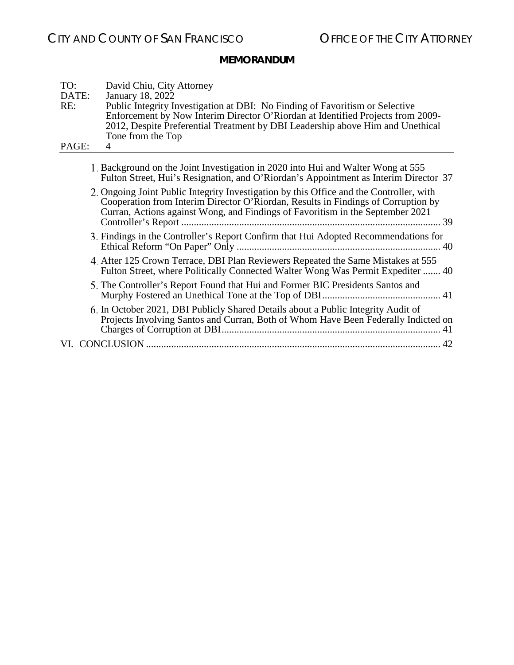| TO:   | David Chiu, City Attorney                                                                                                                                                                                                                                      |
|-------|----------------------------------------------------------------------------------------------------------------------------------------------------------------------------------------------------------------------------------------------------------------|
| DATE: | January 18, 2022                                                                                                                                                                                                                                               |
| RE:   | Public Integrity Investigation at DBI: No Finding of Favoritism or Selective                                                                                                                                                                                   |
|       | Enforcement by Now Interim Director O'Riordan at Identified Projects from 2009-                                                                                                                                                                                |
|       | 2012, Despite Preferential Treatment by DBI Leadership above Him and Unethical                                                                                                                                                                                 |
|       | Tone from the Top                                                                                                                                                                                                                                              |
| PAGE: | 4                                                                                                                                                                                                                                                              |
|       |                                                                                                                                                                                                                                                                |
|       | 1. Background on the Joint Investigation in 2020 into Hui and Walter Wong at 555<br>Fulton Street, Hui's Resignation, and O'Riordan's Appointment as Interim Director 37                                                                                       |
|       | 2. Ongoing Joint Public Integrity Investigation by this Office and the Controller, with<br>Cooperation from Interim Director O'Riordan, Results in Findings of Corruption by<br>Curran, Actions against Wong, and Findings of Favoritism in the September 2021 |
|       |                                                                                                                                                                                                                                                                |
|       | 3. Findings in the Controller's Report Confirm that Hui Adopted Recommendations for                                                                                                                                                                            |
|       | 4. After 125 Crown Terrace, DBI Plan Reviewers Repeated the Same Mistakes at 555<br>Fulton Street, where Politically Connected Walter Wong Was Permit Expediter  40                                                                                            |
|       | 5. The Controller's Report Found that Hui and Former BIC Presidents Santos and                                                                                                                                                                                 |
|       | 6. In October 2021, DBI Publicly Shared Details about a Public Integrity Audit of<br>Projects Involving Santos and Curran, Both of Whom Have Been Federally Indicted on                                                                                        |
|       |                                                                                                                                                                                                                                                                |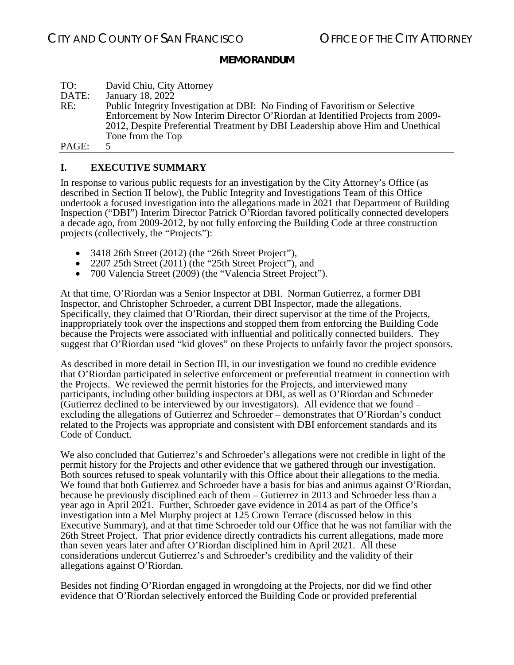| TO:   | David Chiu, City Attorney                                                       |
|-------|---------------------------------------------------------------------------------|
| DATE: | January 18, 2022                                                                |
| RE:   | Public Integrity Investigation at DBI: No Finding of Favoritism or Selective    |
|       | Enforcement by Now Interim Director O'Riordan at Identified Projects from 2009- |
|       | 2012, Despite Preferential Treatment by DBI Leadership above Him and Unethical  |
|       | Tone from the Top                                                               |
| PAGE: |                                                                                 |

### <span id="page-4-0"></span>**I. EXECUTIVE SUMMARY**

In response to various public requests for an investigation by the City Attorney's Office (as described in Section II below), the Public Integrity and Investigations Team of this Office undertook a focused investigation into the allegations made in 2021 that Department of Building Inspection ("DBI") Interim Director Patrick O'Riordan favored politically connected developers a decade ago, from 2009-2012, by not fully enforcing the Building Code at three construction projects (collectively, the "Projects"):

- 3418 26th Street (2012) (the "26th Street Project"),
- 2207 25th Street (2011) (the "25th Street Project"), and
- 700 Valencia Street (2009) (the "Valencia Street Project").

At that time, O'Riordan was a Senior Inspector at DBI. Norman Gutierrez, a former DBI Inspector, and Christopher Schroeder, a current DBI Inspector, made the allegations. Specifically, they claimed that O'Riordan, their direct supervisor at the time of the Projects, inappropriately took over the inspections and stopped them from enforcing the Building Code because the Projects were associated with influential and politically connected builders. They suggest that O'Riordan used "kid gloves" on these Projects to unfairly favor the project sponsors.

As described in more detail in Section III, in our investigation we found no credible evidence that O'Riordan participated in selective enforcement or preferential treatment in connection with the Projects. We reviewed the permit histories for the Projects, and interviewed many participants, including other building inspectors at DBI, as well as O'Riordan and Schroeder (Gutierrez declined to be interviewed by our investigators). All evidence that we found – excluding the allegations of Gutierrez and Schroeder – demonstrates that O'Riordan's conduct related to the Projects was appropriate and consistent with DBI enforcement standards and its Code of Conduct.

We also concluded that Gutierrez's and Schroeder's allegations were not credible in light of the permit history for the Projects and other evidence that we gathered through our investigation. Both sources refused to speak voluntarily with this Office about their allegations to the media. We found that both Gutierrez and Schroeder have a basis for bias and animus against O'Riordan, because he previously disciplined each of them – Gutierrez in 2013 and Schroeder less than a year ago in April 2021. Further, Schroeder gave evidence in 2014 as part of the Office's investigation into a Mel Murphy project at 125 Crown Terrace (discussed below in this Executive Summary), and at that time Schroeder told our Office that he was not familiar with the 26th Street Project. That prior evidence directly contradicts his current allegations, made more than seven years later and after O'Riordan disciplined him in April 2021. All these considerations undercut Gutierrez's and Schroeder's credibility and the validity of their allegations against O'Riordan.

Besides not finding O'Riordan engaged in wrongdoing at the Projects, nor did we find other evidence that O'Riordan selectively enforced the Building Code or provided preferential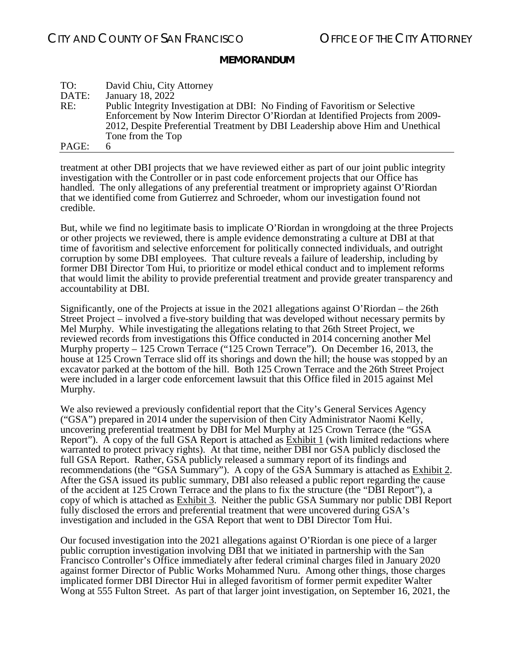| TO:   | David Chiu, City Attorney                                                       |
|-------|---------------------------------------------------------------------------------|
| DATE: | January 18, 2022                                                                |
| RE:   | Public Integrity Investigation at DBI: No Finding of Favoritism or Selective    |
|       | Enforcement by Now Interim Director O'Riordan at Identified Projects from 2009- |
|       | 2012, Despite Preferential Treatment by DBI Leadership above Him and Unethical  |
|       | Tone from the Top                                                               |
| PAGE: | 6                                                                               |

treatment at other DBI projects that we have reviewed either as part of our joint public integrity investigation with the Controller or in past code enforcement projects that our Office has handled. The only allegations of any preferential treatment or impropriety against O'Riordan that we identified come from Gutierrez and Schroeder, whom our investigation found not credible.

But, while we find no legitimate basis to implicate O'Riordan in wrongdoing at the three Projects or other projects we reviewed, there is ample evidence demonstrating a culture at DBI at that time of favoritism and selective enforcement for politically connected individuals, and outright corruption by some DBI employees. That culture reveals a failure of leadership, including by former DBI Director Tom Hui, to prioritize or model ethical conduct and to implement reforms that would limit the ability to provide preferential treatment and provide greater transparency and accountability at DBI.

Significantly, one of the Projects at issue in the 2021 allegations against O'Riordan – the 26th Street Project – involved a five-story building that was developed without necessary permits by Mel Murphy. While investigating the allegations relating to that 26th Street Project, we reviewed records from investigations this Office conducted in 2014 concerning another Mel Murphy property – 125 Crown Terrace ("125 Crown Terrace"). On December 16, 2013, the house at 125 Crown Terrace slid off its shorings and down the hill; the house was stopped by an excavator parked at the bottom of the hill. Both 125 Crown Terrace and the 26th Street Project were included in a larger code enforcement lawsuit that this Office filed in 2015 against Mel Murphy.

We also reviewed a previously confidential report that the City's General Services Agency ("GSA") prepared in 2014 under the supervision of then City Administrator Naomi Kelly, uncovering preferential treatment by DBI for Mel Murphy at 125 Crown Terrace (the "GSA Report"). A copy of the full GSA Report is attached as **Exhibit 1** (with limited redactions where warranted to protect privacy rights). At that time, neither DBI nor GSA publicly disclosed the full GSA Report. Rather, GSA publicly released a summary report of its findings and recommendations (the "GSA Summary"). A copy of the GSA Summary is attached as **Exhibit 2**. After the GSA issued its public summary, DBI also released a public report regarding the cause of the accident at 125 Crown Terrace and the plans to fix the structure (the "DBI Report"), a copy of which is attached as Exhibit 3. Neither the public GSA Summary nor public DBI Report fully disclosed the errors and preferential treatment that were uncovered during GSA's investigation and included in the GSA Report that went to DBI Director Tom Hui.

Our focused investigation into the 2021 allegations against O'Riordan is one piece of a larger public corruption investigation involving DBI that we initiated in partnership with the San Francisco Controller's Office immediately after federal criminal charges filed in January 2020 against former Director of Public Works Mohammed Nuru. Among other things, those charges implicated former DBI Director Hui in alleged favoritism of former permit expediter Walter Wong at 555 Fulton Street. As part of that larger joint investigation, on September 16, 2021, the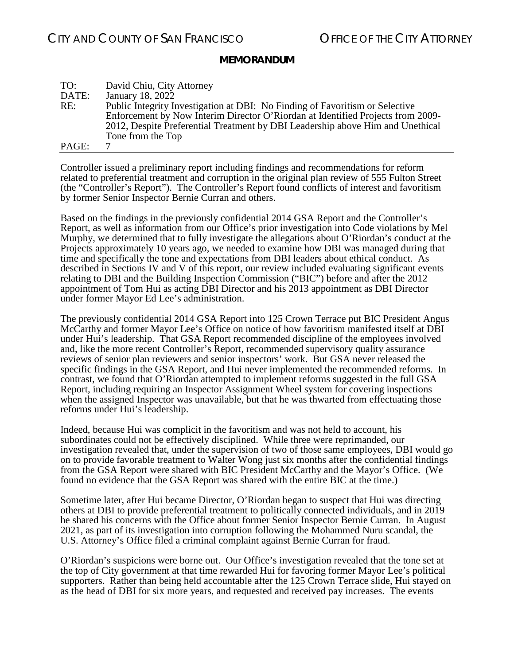| TO:   | David Chiu, City Attorney                                                       |
|-------|---------------------------------------------------------------------------------|
| DATE: | January 18, 2022                                                                |
| RE:   | Public Integrity Investigation at DBI: No Finding of Favoritism or Selective    |
|       | Enforcement by Now Interim Director O'Riordan at Identified Projects from 2009- |
|       | 2012, Despite Preferential Treatment by DBI Leadership above Him and Unethical  |
|       | Tone from the Top                                                               |
| PAGE: |                                                                                 |

Controller issued a preliminary report including findings and recommendations for reform related to preferential treatment and corruption in the original plan review of 555 Fulton Street (the "Controller's Report"). The Controller's Report found conflicts of interest and favoritism by former Senior Inspector Bernie Curran and others.

Based on the findings in the previously confidential 2014 GSA Report and the Controller's Report, as well as information from our Office's prior investigation into Code violations by Mel Murphy, we determined that to fully investigate the allegations about O'Riordan's conduct at the Projects approximately 10 years ago, we needed to examine how DBI was managed during that time and specifically the tone and expectations from DBI leaders about ethical conduct. As described in Sections IV and V of this report, our review included evaluating significant events relating to DBI and the Building Inspection Commission ("BIC") before and after the 2012 appointment of Tom Hui as acting DBI Director and his 2013 appointment as DBI Director under former Mayor Ed Lee's administration.

The previously confidential 2014 GSA Report into 125 Crown Terrace put BIC President Angus McCarthy and former Mayor Lee's Office on notice of how favoritism manifested itself at DBI under Hui's leadership. That GSA Report recommended discipline of the employees involved and, like the more recent Controller's Report, recommended supervisory quality assurance reviews of senior plan reviewers and senior inspectors' work. But GSA never released the specific findings in the GSA Report, and Hui never implemented the recommended reforms. In contrast, we found that O'Riordan attempted to implement reforms suggested in the full GSA Report, including requiring an Inspector Assignment Wheel system for covering inspections when the assigned Inspector was unavailable, but that he was thwarted from effectuating those reforms under Hui's leadership.

Indeed, because Hui was complicit in the favoritism and was not held to account, his subordinates could not be effectively disciplined. While three were reprimanded, our investigation revealed that, under the supervision of two of those same employees, DBI would go on to provide favorable treatment to Walter Wong just six months after the confidential findings from the GSA Report were shared with BIC President McCarthy and the Mayor's Office. (We found no evidence that the GSA Report was shared with the entire BIC at the time.)

Sometime later, after Hui became Director, O'Riordan began to suspect that Hui was directing others at DBI to provide preferential treatment to politically connected individuals, and in 2019 he shared his concerns with the Office about former Senior Inspector Bernie Curran. In August 2021, as part of its investigation into corruption following the Mohammed Nuru scandal, the U.S. Attorney's Office filed a criminal complaint against Bernie Curran for fraud.

O'Riordan's suspicions were borne out. Our Office's investigation revealed that the tone set at the top of City government at that time rewarded Hui for favoring former Mayor Lee's political supporters. Rather than being held accountable after the 125 Crown Terrace slide, Hui stayed on as the head of DBI for six more years, and requested and received pay increases. The events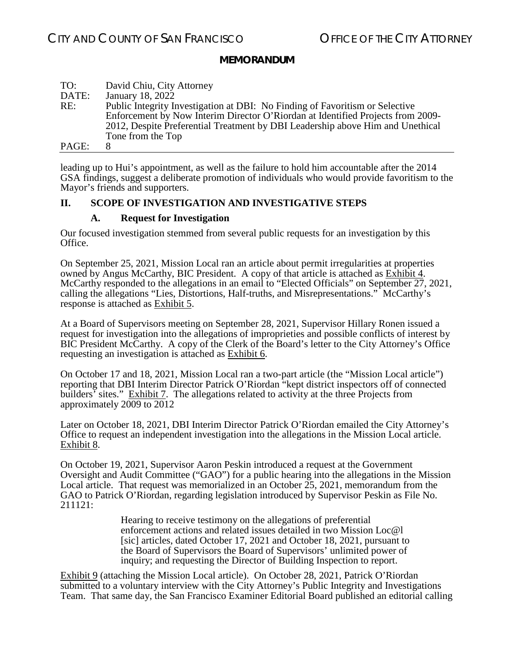| TO:   | David Chiu, City Attorney                                                       |
|-------|---------------------------------------------------------------------------------|
| DATE: | January 18, 2022                                                                |
| RE:   | Public Integrity Investigation at DBI: No Finding of Favoritism or Selective    |
|       | Enforcement by Now Interim Director O'Riordan at Identified Projects from 2009- |
|       | 2012, Despite Preferential Treatment by DBI Leadership above Him and Unethical  |
|       | Tone from the Top                                                               |
| PAGE: | x                                                                               |

leading up to Hui's appointment, as well as the failure to hold him accountable after the 2014 GSA findings, suggest a deliberate promotion of individuals who would provide favoritism to the Mayor's friends and supporters.

### <span id="page-7-1"></span><span id="page-7-0"></span>**II. SCOPE OF INVESTIGATION AND INVESTIGATIVE STEPS**

#### **A. Request for Investigation**

Our focused investigation stemmed from several public requests for an investigation by this Office.

On September 25, 2021, Mission Local ran an article about permit irregularities at properties owned by Angus McCarthy, BIC President. A copy of that article is attached as Exhibit 4. McCarthy responded to the allegations in an email to "Elected Officials" on September 27, 2021, calling the allegations "Lies, Distortions, Half-truths, and Misrepresentations." McCarthy's response is attached as Exhibit 5.

At a Board of Supervisors meeting on September 28, 2021, Supervisor Hillary Ronen issued a request for investigation into the allegations of improprieties and possible conflicts of interest by BIC President McCarthy. A copy of the Clerk of the Board's letter to the City Attorney's Office requesting an investigation is attached as Exhibit 6.

On October 17 and 18, 2021, Mission Local ran a two-part article (the "Mission Local article") reporting that DBI Interim Director Patrick O'Riordan "kept district inspectors off of connected builders<sup>7</sup> sites." Exhibit 7. The allegations related to activity at the three Projects from approximately 2009 to 2012

Later on October 18, 2021, DBI Interim Director Patrick O'Riordan emailed the City Attorney's Office to request an independent investigation into the allegations in the Mission Local article. Exhibit 8.

On October 19, 2021, Supervisor Aaron Peskin introduced a request at the Government Oversight and Audit Committee ("GAO") for a public hearing into the allegations in the Mission Local article. That request was memorialized in an October 25, 2021, memorandum from the GAO to Patrick O'Riordan, regarding legislation introduced by Supervisor Peskin as File No. 211121:

> Hearing to receive testimony on the allegations of preferential enforcement actions and related issues detailed in two Mission Loc@l [sic] articles, dated October 17, 2021 and October 18, 2021, pursuant to the Board of Supervisors the Board of Supervisors' unlimited power of inquiry; and requesting the Director of Building Inspection to report.

Exhibit 9 (attaching the Mission Local article).On October 28, 2021, Patrick O'Riordan submitted to a voluntary interview with the City Attorney's Public Integrity and Investigations Team. That same day, the San Francisco Examiner Editorial Board published an editorial calling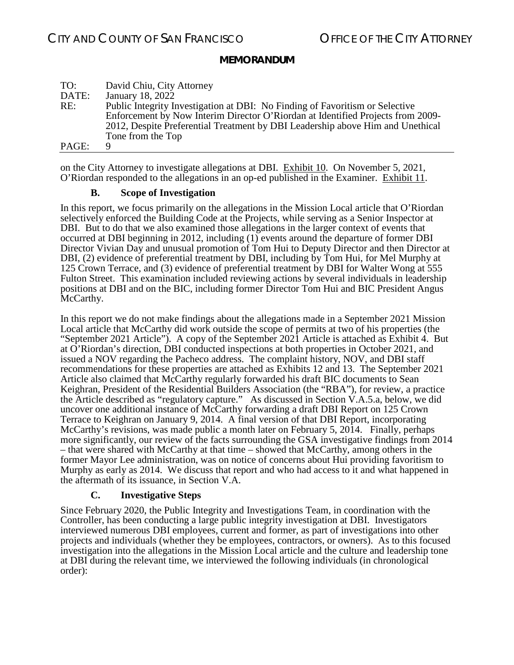| TO:   | David Chiu, City Attorney                                                       |
|-------|---------------------------------------------------------------------------------|
| DATE: | January 18, 2022                                                                |
| RE:   | Public Integrity Investigation at DBI: No Finding of Favoritism or Selective    |
|       | Enforcement by Now Interim Director O'Riordan at Identified Projects from 2009- |
|       | 2012, Despite Preferential Treatment by DBI Leadership above Him and Unethical  |
|       | Tone from the Top                                                               |
| PAGE: | Q                                                                               |

on the City Attorney to investigate allegations at DBI. Exhibit 10. On November 5, 2021, O'Riordan responded to the allegations in an op-ed published in the Examiner. Exhibit 11.

### **B. Scope of Investigation**

<span id="page-8-0"></span>In this report, we focus primarily on the allegations in the Mission Local article that O'Riordan selectively enforced the Building Code at the Projects, while serving as a Senior Inspector at DBI. But to do that we also examined those allegations in the larger context of events that occurred at DBI beginning in 2012, including (1) events around the departure of former DBI Director Vivian Day and unusual promotion of Tom Hui to Deputy Director and then Director at DBI, (2) evidence of preferential treatment by DBI, including by Tom Hui, for Mel Murphy at 125 Crown Terrace, and (3) evidence of preferential treatment by DBI for Walter Wong at 555 Fulton Street. This examination included reviewing actions by several individuals in leadership positions at DBI and on the BIC, including former Director Tom Hui and BIC President Angus McCarthy.

In this report we do not make findings about the allegations made in a September 2021 Mission Local article that McCarthy did work outside the scope of permits at two of his properties (the "September 2021 Article"). A copy of the September 2021 Article is attached as Exhibit 4. But at O'Riordan's direction, DBI conducted inspections at both properties in October 2021, and issued a NOV regarding the Pacheco address. The complaint history, NOV, and DBI staff recommendations for these properties are attached as Exhibits 12 and 13. The September 2021 Article also claimed that McCarthy regularly forwarded his draft BIC documents to Sean Keighran, President of the Residential Builders Association (the "RBA"), for review, a practice the Article described as "regulatory capture." As discussed in Section V.A.5.a, below, we did uncover one additional instance of McCarthy forwarding a draft DBI Report on 125 Crown Terrace to Keighran on January 9, 2014. A final version of that DBI Report, incorporating McCarthy's revisions, was made public a month later on February 5, 2014. Finally, perhaps more significantly, our review of the facts surrounding the GSA investigative findings from 2014 – that were shared with McCarthy at that time – showed that McCarthy, among others in the former Mayor Lee administration, was on notice of concerns about Hui providing favoritism to Murphy as early as 2014. We discuss that report and who had access to it and what happened in the aftermath of its issuance, in Section V.A.

### **C. Investigative Steps**

<span id="page-8-1"></span>Since February 2020, the Public Integrity and Investigations Team, in coordination with the Controller, has been conducting a large public integrity investigation at DBI. Investigators interviewed numerous DBI employees, current and former, as part of investigations into other projects and individuals (whether they be employees, contractors, or owners). As to this focused investigation into the allegations in the Mission Local article and the culture and leadership tone at DBI during the relevant time, we interviewed the following individuals (in chronological order):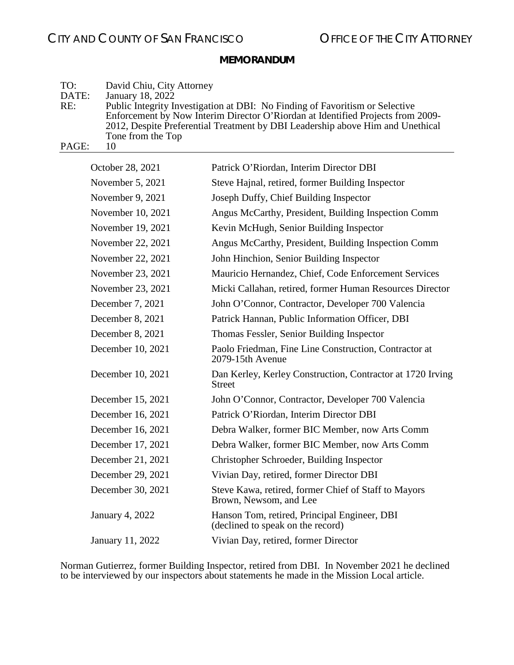| TO:                                         | David Chiu, City Attorney                                                       |
|---------------------------------------------|---------------------------------------------------------------------------------|
| DATE:                                       | January 18, 2022                                                                |
| RE:                                         | Public Integrity Investigation at DBI: No Finding of Favoritism or Selective    |
|                                             | Enforcement by Now Interim Director O'Riordan at Identified Projects from 2009- |
|                                             | 2012, Despite Preferential Treatment by DBI Leadership above Him and Unethical  |
|                                             | Tone from the Top                                                               |
| $\mathbf{D} \wedge \mathbf{C} \mathbf{E}$ . |                                                                                 |

PAGE: 10

| Patrick O'Riordan, Interim Director DBI                                           |
|-----------------------------------------------------------------------------------|
| Steve Hajnal, retired, former Building Inspector                                  |
| Joseph Duffy, Chief Building Inspector                                            |
| Angus McCarthy, President, Building Inspection Comm                               |
| Kevin McHugh, Senior Building Inspector                                           |
| Angus McCarthy, President, Building Inspection Comm                               |
| John Hinchion, Senior Building Inspector                                          |
| Mauricio Hernandez, Chief, Code Enforcement Services                              |
| Micki Callahan, retired, former Human Resources Director                          |
| John O'Connor, Contractor, Developer 700 Valencia                                 |
| Patrick Hannan, Public Information Officer, DBI                                   |
| Thomas Fessler, Senior Building Inspector                                         |
| Paolo Friedman, Fine Line Construction, Contractor at<br>2079-15th Avenue         |
| Dan Kerley, Kerley Construction, Contractor at 1720 Irving<br>Street              |
| John O'Connor, Contractor, Developer 700 Valencia                                 |
| Patrick O'Riordan, Interim Director DBI                                           |
| Debra Walker, former BIC Member, now Arts Comm                                    |
| Debra Walker, former BIC Member, now Arts Comm                                    |
| Christopher Schroeder, Building Inspector                                         |
| Vivian Day, retired, former Director DBI                                          |
| Steve Kawa, retired, former Chief of Staff to Mayors<br>Brown, Newsom, and Lee    |
| Hanson Tom, retired, Principal Engineer, DBI<br>(declined to speak on the record) |
| Vivian Day, retired, former Director                                              |
|                                                                                   |

Norman Gutierrez, former Building Inspector, retired from DBI. In November 2021 he declined to be interviewed by our inspectors about statements he made in the Mission Local article.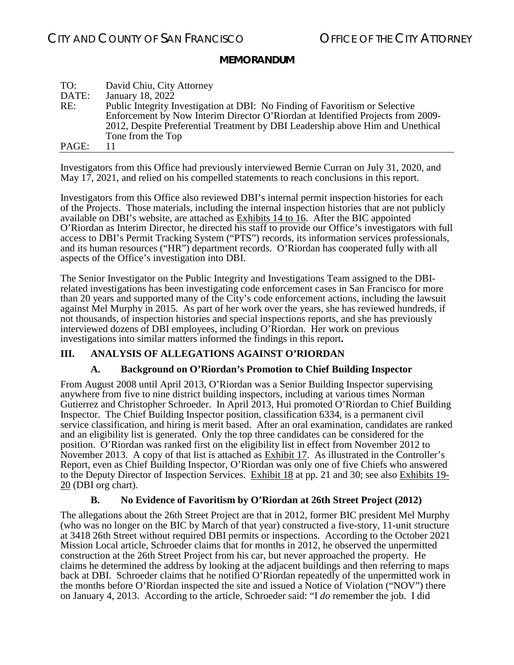| TO:   | David Chiu, City Attorney                                                       |
|-------|---------------------------------------------------------------------------------|
| DATE: | January 18, 2022                                                                |
| RE:   | Public Integrity Investigation at DBI: No Finding of Favoritism or Selective    |
|       | Enforcement by Now Interim Director O'Riordan at Identified Projects from 2009- |
|       | 2012, Despite Preferential Treatment by DBI Leadership above Him and Unethical  |
|       | Tone from the Top                                                               |
| PAGE: |                                                                                 |

Investigators from this Office had previously interviewed Bernie Curran on July 31, 2020, and May 17, 2021, and relied on his compelled statements to reach conclusions in this report.

Investigators from this Office also reviewed DBI's internal permit inspection histories for each of the Projects. Those materials, including the internal inspection histories that are not publicly available on DBI's website, are attached as Exhibits 14 to 16. After the BIC appointed O'Riordan as Interim Director, he directed his staff to provide our Office's investigators with full access to DBI's Permit Tracking System ("PTS") records, its information services professionals, and its human resources ("HR") department records. O'Riordan has cooperated fully with all aspects of the Office's investigation into DBI.

The Senior Investigator on the Public Integrity and Investigations Team assigned to the DBI- related investigations has been investigating code enforcement cases in San Francisco for more than 20 years and supported many of the City's code enforcement actions, including the lawsuit against Mel Murphy in 2015. As part of her work over the years, she has reviewed hundreds, if not thousands, of inspection histories and special inspections reports, and she has previously interviewed dozens of DBI employees, including O'Riordan. Her work on previous investigations into similar matters informed the findings in this report**.**

### <span id="page-10-0"></span>**III. ANALYSIS OF ALLEGATIONS AGAINST O'RIORDAN**

### **A. Background on O'Riordan's Promotion to Chief Building Inspector**

<span id="page-10-1"></span>From August 2008 until April 2013, O'Riordan was a Senior Building Inspector supervising anywhere from five to nine district building inspectors, including at various times Norman Gutierrez and Christopher Schroeder. In April 2013, Hui promoted O'Riordan to Chief Building Inspector. The Chief Building Inspector position, classification 6334, is a permanent civil service classification, and hiring is merit based. After an oral examination, candidates are ranked and an eligibility list is generated. Only the top three candidates can be considered for the position. O'Riordan was ranked first on the eligibility list in effect from November 2012 to November 2013. A copy of that list is attached as Exhibit 17. As illustrated in the Controller's Report, even as Chief Building Inspector, O'Riordan was only one of five Chiefs who answered to the Deputy Director of Inspection Services. Exhibit 18 at pp. 21 and 30; see also Exhibits 19- 20 (DBI org chart).

### **B. No Evidence of Favoritism by O'Riordan at 26th Street Project (2012)**

<span id="page-10-2"></span>The allegations about the 26th Street Project are that in 2012, former BIC president Mel Murphy (who was no longer on the BIC by March of that year) constructed a five-story, 11-unit structure at 3418 26th Street without required DBI permits or inspections. According to the October 2021 Mission Local article, Schroeder claims that for months in 2012, he observed the unpermitted construction at the 26th Street Project from his car, but never approached the property. He claims he determined the address by looking at the adjacent buildings and then referring to maps back at DBI. Schroeder claims that he notified O'Riordan repeatedly of the unpermitted work in the months before O'Riordan inspected the site and issued a Notice of Violation ("NOV") there on January 4, 2013. According to the article, Schroeder said: "I *do* remember the job. I did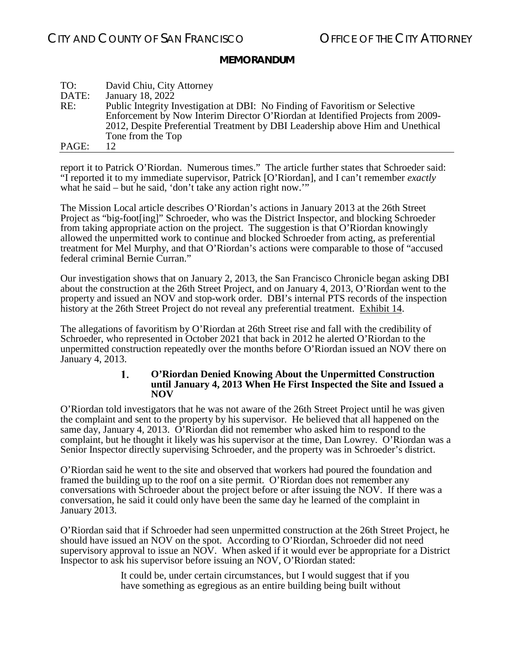| TO:   | David Chiu, City Attorney                                                       |
|-------|---------------------------------------------------------------------------------|
| DATE: | January 18, 2022                                                                |
| RE:   | Public Integrity Investigation at DBI: No Finding of Favoritism or Selective    |
|       | Enforcement by Now Interim Director O'Riordan at Identified Projects from 2009- |
|       | 2012, Despite Preferential Treatment by DBI Leadership above Him and Unethical  |
|       | Tone from the Top                                                               |
| PAGE: | 12.                                                                             |

report it to Patrick O'Riordan. Numerous times." The article further states that Schroeder said: "I reported it to my immediate supervisor, Patrick [O'Riordan], and I can't remember *exactly* what he said – but he said, 'don't take any action right now.'"

The Mission Local article describes O'Riordan's actions in January 2013 at the 26th Street Project as "big-foot[ing]" Schroeder, who was the District Inspector, and blocking Schroeder from taking appropriate action on the project. The suggestion is that O'Riordan knowingly allowed the unpermitted work to continue and blocked Schroeder from acting, as preferential treatment for Mel Murphy, and that O'Riordan's actions were comparable to those of "accused federal criminal Bernie Curran."

Our investigation shows that on January 2, 2013, the San Francisco Chronicle began asking DBI about the construction at the 26th Street Project, and on January 4, 2013, O'Riordan went to the property and issued an NOV and stop-work order. DBI's internal PTS records of the inspection history at the 26th Street Project do not reveal any preferential treatment. Exhibit 14.

<span id="page-11-0"></span>The allegations of favoritism by O'Riordan at 26th Street rise and fall with the credibility of Schroeder, who represented in October 2021 that back in 2012 he alerted O'Riordan to the unpermitted construction repeatedly over the months before O'Riordan issued an NOV there on January 4, 2013.

#### 1. **O'Riordan Denied Knowing About the Unpermitted Construction until January 4, 2013 When He First Inspected the Site and Issued a NOV**

O'Riordan told investigators that he was not aware of the 26th Street Project until he was given the complaint and sent to the property by his supervisor. He believed that all happened on the same day, January 4, 2013. O'Riordan did not remember who asked him to respond to the complaint, but he thought it likely was his supervisor at the time, Dan Lowrey. O'Riordan was a Senior Inspector directly supervising Schroeder, and the property was in Schroeder's district.

O'Riordan said he went to the site and observed that workers had poured the foundation and framed the building up to the roof on a site permit. O'Riordan does not remember any conversations with Schroeder about the project before or after issuing the NOV. If there was a conversation, he said it could only have been the same day he learned of the complaint in January 2013.

O'Riordan said that if Schroeder had seen unpermitted construction at the 26th Street Project, he should have issued an NOV on the spot. According to O'Riordan, Schroeder did not need supervisory approval to issue an NOV. When asked if it would ever be appropriate for a District Inspector to ask his supervisor before issuing an NOV, O'Riordan stated:

> It could be, under certain circumstances, but I would suggest that if you have something as egregious as an entire building being built without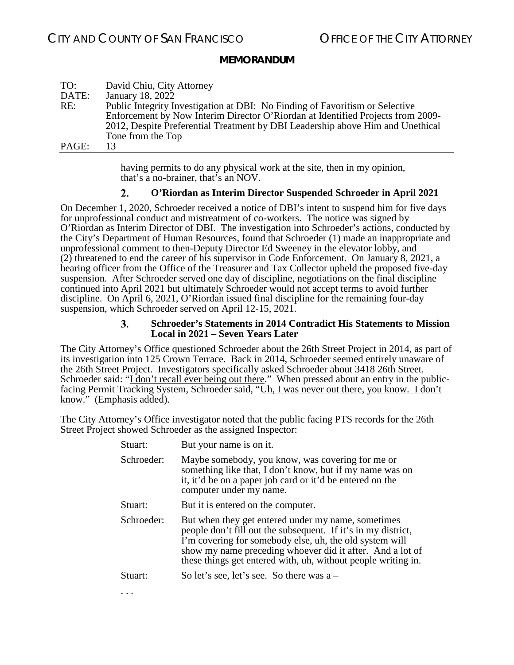| TO:   | David Chiu, City Attorney                                                       |
|-------|---------------------------------------------------------------------------------|
| DATE: | January 18, 2022                                                                |
| RE:   | Public Integrity Investigation at DBI: No Finding of Favoritism or Selective    |
|       | Enforcement by Now Interim Director O'Riordan at Identified Projects from 2009- |
|       | 2012, Despite Preferential Treatment by DBI Leadership above Him and Unethical  |
|       | Tone from the Top                                                               |
| PAGE: | 13                                                                              |

having permits to do any physical work at the site, then in my opinion, that's a no-brainer, that's an NOV.

#### $2.$ **O'Riordan as Interim Director Suspended Schroeder in April 2021**

<span id="page-12-0"></span>On December 1, 2020, Schroeder received a notice of DBI's intent to suspend him for five days for unprofessional conduct and mistreatment of co-workers. The notice was signed by O'Riordan as Interim Director of DBI. The investigation into Schroeder's actions, conducted by the City's Department of Human Resources, found that Schroeder (1) made an inappropriate and unprofessional comment to then-Deputy Director Ed Sweeney in the elevator lobby, and (2) threatened to end the career of his supervisor in Code Enforcement. On January 8, 2021, a hearing officer from the Office of the Treasurer and Tax Collector upheld the proposed five-day suspension. After Schroeder served one day of discipline, negotiations on the final discipline continued into April 2021 but ultimately Schroeder would not accept terms to avoid further discipline. On April 6, 2021, O'Riordan issued final discipline for the remaining four-day suspension, which Schroeder served on April 12-15, 2021.

#### 3. **Schroeder's Statements in 2014 Contradict His Statements to Mission Local in 2021 – Seven Years Later**

<span id="page-12-1"></span>The City Attorney's Office questioned Schroeder about the 26th Street Project in 2014, as part of its investigation into 125 Crown Terrace. Back in 2014, Schroeder seemed entirely unaware of the 26th Street Project. Investigators specifically asked Schroeder about 3418 26th Street. Schroeder said: "I don't recall ever being out there." When pressed about an entry in the publicfacing Permit Tracking System, Schroeder said, "Uh, I was never out there, you know. I don't know." (Emphasis added).

The City Attorney's Office investigator noted that the public facing PTS records for the 26th Street Project showed Schroeder as the assigned Inspector:

| Stuart:    | But your name is on it.                                                                                                                                                                                                                                                                                      |
|------------|--------------------------------------------------------------------------------------------------------------------------------------------------------------------------------------------------------------------------------------------------------------------------------------------------------------|
| Schroeder: | Maybe somebody, you know, was covering for me or<br>something like that, I don't know, but if my name was on<br>it, it'd be on a paper job card or it'd be entered on the<br>computer under my name.                                                                                                         |
| Stuart:    | But it is entered on the computer.                                                                                                                                                                                                                                                                           |
| Schroeder: | But when they get entered under my name, sometimes<br>people don't fill out the subsequent. If it's in my district,<br>I'm covering for somebody else, uh, the old system will<br>show my name preceding whoever did it after. And a lot of<br>these things get entered with, uh, without people writing in. |
| Stuart:    | So let's see, let's see. So there was $a -$                                                                                                                                                                                                                                                                  |
|            |                                                                                                                                                                                                                                                                                                              |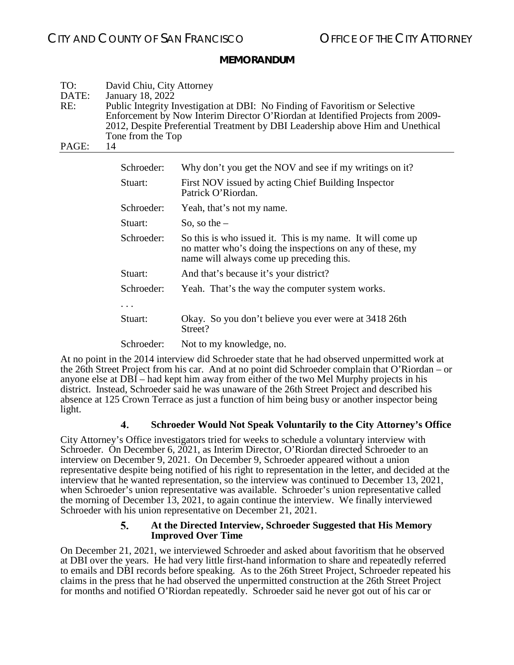| TO:<br>DATE:<br>RE:<br>PAGE: | David Chiu, City Attorney<br>January 18, 2022<br>Tone from the Top<br>14 | Public Integrity Investigation at DBI: No Finding of Favoritism or Selective<br>Enforcement by Now Interim Director O'Riordan at Identified Projects from 2009-<br>2012, Despite Preferential Treatment by DBI Leadership above Him and Unethical |
|------------------------------|--------------------------------------------------------------------------|---------------------------------------------------------------------------------------------------------------------------------------------------------------------------------------------------------------------------------------------------|
|                              |                                                                          |                                                                                                                                                                                                                                                   |
|                              | Schroeder:                                                               | Why don't you get the NOV and see if my writings on it?                                                                                                                                                                                           |
|                              | Stuart:                                                                  | First NOV issued by acting Chief Building Inspector<br>Patrick O'Riordan.                                                                                                                                                                         |
|                              | Schroeder:                                                               | Yeah, that's not my name.                                                                                                                                                                                                                         |
|                              | Stuart:                                                                  | So, so the $-$                                                                                                                                                                                                                                    |
|                              | Schroeder:                                                               | So this is who issued it. This is my name. It will come up<br>no matter who's doing the inspections on any of these, my<br>name will always come up preceding this.                                                                               |
|                              | Stuart:                                                                  | And that's because it's your district?                                                                                                                                                                                                            |
|                              | Schroeder:                                                               | Yeah. That's the way the computer system works.                                                                                                                                                                                                   |
|                              | .                                                                        |                                                                                                                                                                                                                                                   |
|                              | Stuart:                                                                  | Okay. So you don't believe you ever were at 3418 26th<br>Street?                                                                                                                                                                                  |
|                              | Schroeder:                                                               | Not to my knowledge, no.                                                                                                                                                                                                                          |

At no point in the 2014 interview did Schroeder state that he had observed unpermitted work at the 26th Street Project from his car. And at no point did Schroeder complain that O'Riordan – or anyone else at DBI – had kept him away from either of the two Mel Murphy projects in his district. Instead, Schroeder said he was unaware of the 26th Street Project and described his absence at 125 Crown Terrace as just a function of him being busy or another inspector being light.

#### $\mathbf{4}$ **Schroeder Would Not Speak Voluntarily to the City Attorney's Office**

<span id="page-13-0"></span>City Attorney's Office investigators tried for weeks to schedule a voluntary interview with Schroeder. On December 6, 2021, as Interim Director, O'Riordan directed Schroeder to an interview on December 9, 2021. On December 9, Schroeder appeared without a union representative despite being notified of his right to representation in the letter, and decided at the interview that he wanted representation, so the interview was continued to December 13, 2021, when Schroeder's union representative was available. Schroeder's union representative called the morning of December  $\hat{1}3, 2021$ , to again continue the interview. We finally interviewed Schroeder with his union representative on December 21, 2021.

#### 5. **At the Directed Interview, Schroeder Suggested that His Memory Improved Over Time**

<span id="page-13-1"></span>On December 21, 2021, we interviewed Schroeder and asked about favoritism that he observed at DBI over the years. He had very little first-hand information to share and repeatedly referred to emails and DBI records before speaking. As to the 26th Street Project, Schroeder repeated his claims in the press that he had observed the unpermitted construction at the 26th Street Project for months and notified O'Riordan repeatedly. Schroeder said he never got out of his car or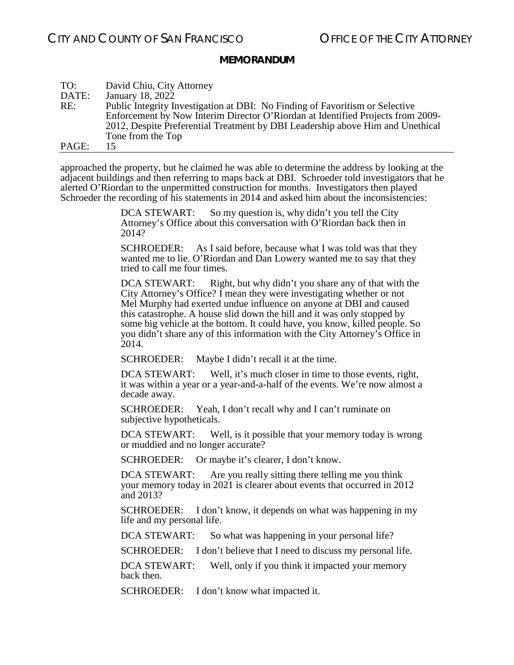| TO:   | David Chiu, City Attorney                                                       |
|-------|---------------------------------------------------------------------------------|
| DATE: | January 18, 2022                                                                |
| RE:   | Public Integrity Investigation at DBI: No Finding of Favoritism or Selective    |
|       | Enforcement by Now Interim Director O'Riordan at Identified Projects from 2009- |
|       | 2012, Despite Preferential Treatment by DBI Leadership above Him and Unethical  |
|       | Tone from the Top                                                               |
| PAGE: | 15                                                                              |

approached the property, but he claimed he was able to determine the address by looking at the adjacent buildings and then referring to maps back at DBI. Schroeder told investigators that he alerted O'Riordan to the unpermitted construction for months. Investigators then played Schroeder the recording of his statements in 2014 and asked him about the inconsistencies:

> DCA STEWART: So my question is, why didn't you tell the City Attorney's Office about this conversation with O'Riordan back then in 2014?

SCHROEDER: As I said before, because what I was told was that they wanted me to lie. O'Riordan and Dan Lowery wanted me to say that they tried to call me four times.

DCA STEWART: Right, but why didn't you share any of that with the City Attorney's Office? I mean they were investigating whether or not Mel Murphy had exerted undue influence on anyone at DBI and caused this catastrophe. A house slid down the hill and it was only stopped by some big vehicle at the bottom. It could have, you know, killed people. So you didn't share any of this information with the City Attorney's Office in 2014.

SCHROEDER: Maybe I didn't recall it at the time.

DCA STEWART: Well, it's much closer in time to those events, right, it was within a year or a year-and-a-half of the events. We're now almost a decade away.

SCHROEDER: Yeah, I don't recall why and I can't ruminate on subjective hypotheticals.

DCA STEWART: Well, is it possible that your memory today is wrong or muddied and no longer accurate?

SCHROEDER: Or maybe it's clearer, I don't know.

DCA STEWART: Are you really sitting there telling me you think your memory today in 2021 is clearer about events that occurred in 2012 and 2013?

SCHROEDER: I don't know, it depends on what was happening in my life and my personal life.

DCA STEWART: So what was happening in your personal life?

SCHROEDER: I don't believe that I need to discuss my personal life.

DCA STEWART: Well, only if you think it impacted your memory back then.

SCHROEDER: I don't know what impacted it.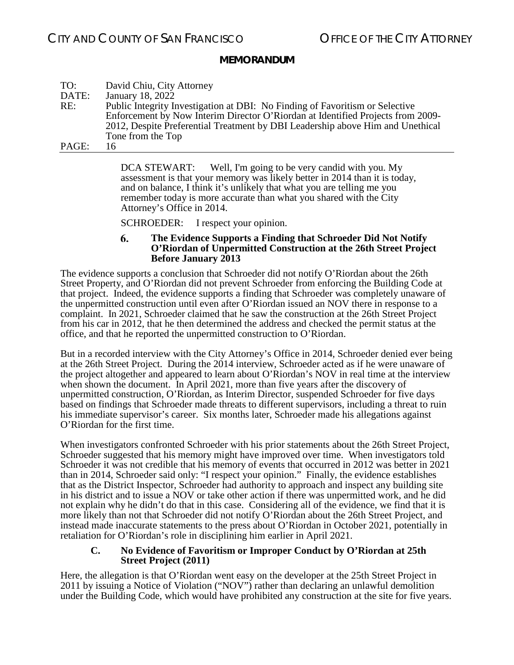| TO:   | David Chiu, City Attorney                                                       |
|-------|---------------------------------------------------------------------------------|
| DATE: | January 18, 2022                                                                |
| RE:   | Public Integrity Investigation at DBI: No Finding of Favoritism or Selective    |
|       | Enforcement by Now Interim Director O'Riordan at Identified Projects from 2009- |
|       | 2012, Despite Preferential Treatment by DBI Leadership above Him and Unethical  |
|       | Tone from the Top                                                               |
| PAGE: | 16                                                                              |

DCA STEWART: Well, I'm going to be very candid with you. My assessment is that your memory was likely better in 2014 than it is today, and on balance, I think it's unlikely that what you are telling me you remember today is more accurate than what you shared with the City Attorney's Office in 2014.

SCHROEDER: I respect your opinion.

#### 6. **The Evidence Supports a Finding that Schroeder Did Not Notify O'Riordan of Unpermitted Construction at the 26th Street Project Before January 2013**

<span id="page-15-0"></span>The evidence supports a conclusion that Schroeder did not notify O'Riordan about the 26th Street Property, and O'Riordan did not prevent Schroeder from enforcing the Building Code at that project. Indeed, the evidence supports a finding that Schroeder was completely unaware of the unpermitted construction until even after O'Riordan issued an NOV there in response to a complaint. In 2021, Schroeder claimed that he saw the construction at the 26th Street Project from his car in 2012, that he then determined the address and checked the permit status at the office, and that he reported the unpermitted construction to O'Riordan.

But in a recorded interview with the City Attorney's Office in 2014, Schroeder denied ever being at the 26th Street Project. During the 2014 interview, Schroeder acted as if he were unaware of the project altogether and appeared to learn about O'Riordan's NOV in real time at the interview when shown the document. In April 2021, more than five years after the discovery of unpermitted construction, O'Riordan, as Interim Director, suspended Schroeder for five days based on findings that Schroeder made threats to different supervisors, including a threat to ruin his immediate supervisor's career. Six months later, Schroeder made his allegations against O'Riordan for the first time.

When investigators confronted Schroeder with his prior statements about the 26th Street Project, Schroeder suggested that his memory might have improved over time. When investigators told Schroeder it was not credible that his memory of events that occurred in 2012 was better in 2021 than in 2014, Schroeder said only: "I respect your opinion." Finally, the evidence establishes that as the District Inspector, Schroeder had authority to approach and inspect any building site in his district and to issue a NOV or take other action if there was unpermitted work, and he did not explain why he didn't do that in this case. Considering all of the evidence, we find that it is more likely than not that Schroeder did not notify O'Riordan about the 26th Street Project, and instead made inaccurate statements to the press about O'Riordan in October 2021, potentially in retaliation for O'Riordan's role in disciplining him earlier in April 2021.

### <span id="page-15-1"></span>**C. No Evidence of Favoritism or Improper Conduct by O'Riordan at 25th Street Project (2011)**

Here, the allegation is that O'Riordan went easy on the developer at the 25th Street Project in 2011 by issuing a Notice of Violation ("NOV") rather than declaring an unlawful demolition under the Building Code, which would have prohibited any construction at the site for five years.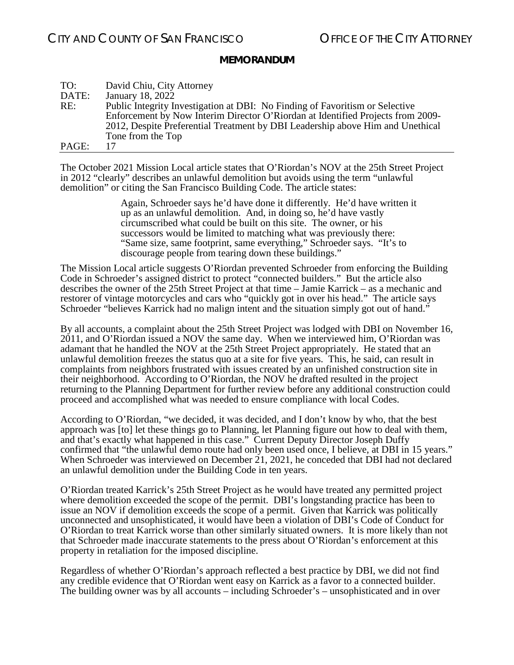| TO:   | David Chiu, City Attorney                                                       |
|-------|---------------------------------------------------------------------------------|
| DATE: | January 18, 2022                                                                |
| RE:   | Public Integrity Investigation at DBI: No Finding of Favoritism or Selective    |
|       | Enforcement by Now Interim Director O'Riordan at Identified Projects from 2009- |
|       | 2012, Despite Preferential Treatment by DBI Leadership above Him and Unethical  |
|       | Tone from the Top                                                               |
| PAGE: | 17                                                                              |

The October 2021 Mission Local article states that O'Riordan's NOV at the 25th Street Project in 2012 "clearly" describes an unlawful demolition but avoids using the term "unlawful demolition" or citing the San Francisco Building Code. The article states:

> Again, Schroeder says he'd have done it differently. He'd have written it up as an unlawful demolition. And, in doing so, he'd have vastly circumscribed what could be built on this site. The owner, or his successors would be limited to matching what was previously there: "Same size, same footprint, same everything," Schroeder says. "It's to discourage people from tearing down these buildings."

The Mission Local article suggests O'Riordan prevented Schroeder from enforcing the Building Code in Schroeder's assigned district to protect "connected builders." But the article also describes the owner of the 25th Street Project at that time – Jamie Karrick – as a mechanic and restorer of vintage motorcycles and cars who "quickly got in over his head." The article says Schroeder "believes Karrick had no malign intent and the situation simply got out of hand."

By all accounts, a complaint about the 25th Street Project was lodged with DBI on November 16, 2011, and O'Riordan issued a NOV the same day. When we interviewed him, O'Riordan was adamant that he handled the NOV at the 25th Street Project appropriately. He stated that an unlawful demolition freezes the status quo at a site for five years. This, he said, can result in complaints from neighbors frustrated with issues created by an unfinished construction site in their neighborhood. According to O'Riordan, the NOV he drafted resulted in the project returning to the Planning Department for further review before any additional construction could proceed and accomplished what was needed to ensure compliance with local Codes.

According to O'Riordan, "we decided, it was decided, and I don't know by who, that the best approach was [to] let these things go to Planning, let Planning figure out how to deal with them, and that's exactly what happened in this case." Current Deputy Director Joseph Duffy confirmed that "the unlawful demo route had only been used once, I believe, at DBI in 15 years." When Schroeder was interviewed on December 21, 2021, he conceded that DBI had not declared an unlawful demolition under the Building Code in ten years.

O'Riordan treated Karrick's 25th Street Project as he would have treated any permitted project where demolition exceeded the scope of the permit. DBI's longstanding practice has been to issue an NOV if demolition exceeds the scope of a permit. Given that Karrick was politically unconnected and unsophisticated, it would have been a violation of DBI's Code of Conduct for O'Riordan to treat Karrick worse than other similarly situated owners. It is more likely than not that Schroeder made inaccurate statements to the press about O'Riordan's enforcement at this property in retaliation for the imposed discipline.

Regardless of whether O'Riordan's approach reflected a best practice by DBI, we did not find any credible evidence that O'Riordan went easy on Karrick as a favor to a connected builder. The building owner was by all accounts – including Schroeder's – unsophisticated and in over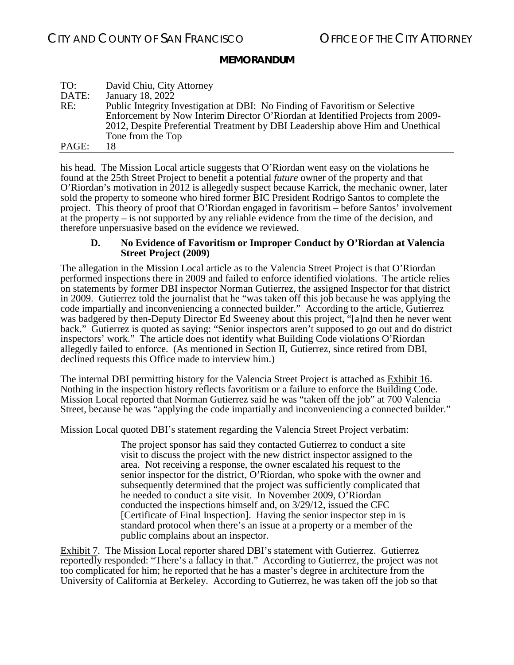| TO:   | David Chiu, City Attorney                                                       |
|-------|---------------------------------------------------------------------------------|
| DATE: | January 18, 2022                                                                |
| RE:   | Public Integrity Investigation at DBI: No Finding of Favoritism or Selective    |
|       | Enforcement by Now Interim Director O'Riordan at Identified Projects from 2009- |
|       | 2012, Despite Preferential Treatment by DBI Leadership above Him and Unethical  |
|       | Tone from the Top                                                               |
| PAGE: | 18                                                                              |

his head. The Mission Local article suggests that O'Riordan went easy on the violations he found at the 25th Street Project to benefit a potential *future* owner of the property and that O'Riordan's motivation in 2012 is allegedly suspect because Karrick, the mechanic owner, later sold the property to someone who hired former BIC President Rodrigo Santos to complete the project. This theory of proof that O'Riordan engaged in favoritism – before Santos' involvement at the property – is not supported by any reliable evidence from the time of the decision, and therefore unpersuasive based on the evidence we reviewed.

#### <span id="page-17-0"></span>**D. No Evidence of Favoritism or Improper Conduct by O'Riordan at Valencia Street Project (2009)**

The allegation in the Mission Local article as to the Valencia Street Project is that O'Riordan performed inspections there in 2009 and failed to enforce identified violations. The article relies on statements by former DBI inspector Norman Gutierrez, the assigned Inspector for that district in 2009. Gutierrez told the journalist that he "was taken off this job because he was applying the code impartially and inconveniencing a connected builder." According to the article, Gutierrez was badgered by then-Deputy Director Ed Sweeney about this project, "[a]nd then he never went back." Gutierrez is quoted as saying: "Senior inspectors aren't supposed to go out and do district inspectors' work." The article does not identify what Building Code violations O'Riordan allegedly failed to enforce. (As mentioned in Section II, Gutierrez, since retired from DBI, declined requests this Office made to interview him.)

The internal DBI permitting history for the Valencia Street Project is attached as Exhibit 16. Nothing in the inspection history reflects favoritism or a failure to enforce the Building Code. Mission Local reported that Norman Gutierrez said he was "taken off the job" at 700 Valencia Street, because he was "applying the code impartially and inconveniencing a connected builder."

Mission Local quoted DBI's statement regarding the Valencia Street Project verbatim:

The project sponsor has said they contacted Gutierrez to conduct a site visit to discuss the project with the new district inspector assigned to the area. Not receiving a response, the owner escalated his request to the senior inspector for the district, O'Riordan, who spoke with the owner and subsequently determined that the project was sufficiently complicated that he needed to conduct a site visit. In November 2009, O'Riordan conducted the inspections himself and, on 3/29/12, issued the CFC [Certificate of Final Inspection]. Having the senior inspector step in is standard protocol when there's an issue at a property or a member of the public complains about an inspector.

Exhibit 7. The Mission Local reporter shared DBI's statement with Gutierrez. Gutierrez reportedly responded: "There's a fallacy in that." According to Gutierrez, the project was not too complicated for him; he reported that he has a master's degree in architecture from the University of California at Berkeley. According to Gutierrez, he was taken off the job so that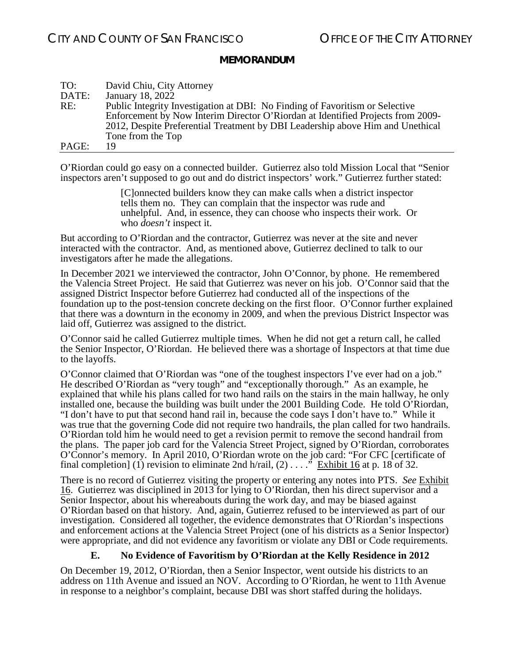| TO:   | David Chiu, City Attorney                                                       |
|-------|---------------------------------------------------------------------------------|
| DATE: | January 18, 2022                                                                |
| RE:   | Public Integrity Investigation at DBI: No Finding of Favoritism or Selective    |
|       | Enforcement by Now Interim Director O'Riordan at Identified Projects from 2009- |
|       | 2012, Despite Preferential Treatment by DBI Leadership above Him and Unethical  |
|       | Tone from the Top                                                               |
| PAGE: | 19                                                                              |

O'Riordan could go easy on a connected builder. Gutierrez also told Mission Local that "Senior inspectors aren't supposed to go out and do district inspectors' work." Gutierrez further stated:

> [C]onnected builders know they can make calls when a district inspector tells them no. They can complain that the inspector was rude and unhelpful. And, in essence, they can choose who inspects their work. Or who *doesn't* inspect it.

But according to O'Riordan and the contractor, Gutierrez was never at the site and never interacted with the contractor. And, as mentioned above, Gutierrez declined to talk to our investigators after he made the allegations.

In December 2021 we interviewed the contractor, John O'Connor, by phone. He remembered the Valencia Street Project. He said that Gutierrez was never on his job. O'Connor said that the assigned District Inspector before Gutierrez had conducted all of the inspections of the foundation up to the post-tension concrete decking on the first floor. O'Connor further explained that there was a downturn in the economy in 2009, and when the previous District Inspector was laid off, Gutierrez was assigned to the district.

O'Connor said he called Gutierrez multiple times. When he did not get a return call, he called the Senior Inspector, O'Riordan. He believed there was a shortage of Inspectors at that time due to the layoffs.

O'Connor claimed that O'Riordan was "one of the toughest inspectors I've ever had on a job." He described O'Riordan as "very tough" and "exceptionally thorough." As an example, he explained that while his plans called for two hand rails on the stairs in the main hallway, he only installed one, because the building was built under the 2001 Building Code. He told O'Riordan, "I don't have to put that second hand rail in, because the code says I don't have to." While it was true that the governing Code did not require two handrails, the plan called for two handrails. O'Riordan told him he would need to get a revision permit to remove the second handrail from the plans. The paper job card for the Valencia Street Project, signed by O'Riordan, corroborates O'Connor's memory. In April 2010, O'Riordan wrote on the job card: "For CFC [certificate of final completion] (1) revision to eliminate 2nd h/rail,  $(2) \ldots$ ." Exhibit 16 at p. 18 of 32.

There is no record of Gutierrez visiting the property or entering any notes into PTS. *See* Exhibit 16. Gutierrez was disciplined in 2013 for lying to O'Riordan, then his direct supervisor and a Senior Inspector, about his whereabouts during the work day, and may be biased against O'Riordan based on that history. And, again, Gutierrez refused to be interviewed as part of our investigation. Considered all together, the evidence demonstrates that O'Riordan's inspections and enforcement actions at the Valencia Street Project (one of his districts as a Senior Inspector) were appropriate, and did not evidence any favoritism or violate any DBI or Code requirements.

### **E. No Evidence of Favoritism by O'Riordan at the Kelly Residence in 2012**

<span id="page-18-0"></span>On December 19, 2012, O'Riordan, then a Senior Inspector, went outside his districts to an address on 11th Avenue and issued an NOV. According to O'Riordan, he went to 11th Avenue in response to a neighbor's complaint, because DBI was short staffed during the holidays.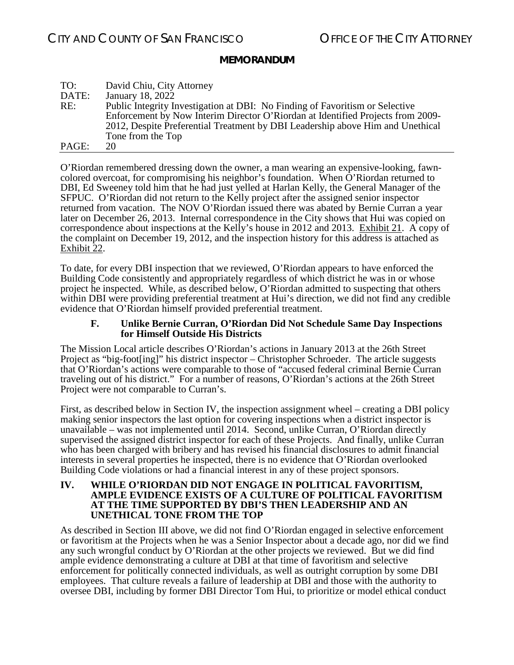| TO:   | David Chiu, City Attorney                                                       |
|-------|---------------------------------------------------------------------------------|
| DATE: | January 18, 2022                                                                |
| RE:   | Public Integrity Investigation at DBI: No Finding of Favoritism or Selective    |
|       | Enforcement by Now Interim Director O'Riordan at Identified Projects from 2009- |
|       | 2012, Despite Preferential Treatment by DBI Leadership above Him and Unethical  |
|       | Tone from the Top                                                               |
| PAGE: | 20                                                                              |

O'Riordan remembered dressing down the owner, a man wearing an expensive-looking, fawncolored overcoat, for compromising his neighbor's foundation. When O'Riordan returned to DBI, Ed Sweeney told him that he had just yelled at Harlan Kelly, the General Manager of the SFPUC. O'Riordan did not return to the Kelly project after the assigned senior inspector returned from vacation. The NOV O'Riordan issued there was abated by Bernie Curran a year later on December 26, 2013. Internal correspondence in the City shows that Hui was copied on correspondence about inspections at the Kelly's house in 2012 and 2013. Exhibit 21. A copy of the complaint on December 19, 2012, and the inspection history for this address is attached as Exhibit 22.

To date, for every DBI inspection that we reviewed, O'Riordan appears to have enforced the Building Code consistently and appropriately regardless of which district he was in or whose project he inspected. While, as described below, O'Riordan admitted to suspecting that others within DBI were providing preferential treatment at Hui's direction, we did not find any credible evidence that O'Riordan himself provided preferential treatment.

#### **F. Unlike Bernie Curran, O'Riordan Did Not Schedule Same Day Inspections for Himself Outside His Districts**

<span id="page-19-0"></span>The Mission Local article describes O'Riordan's actions in January 2013 at the 26th Street Project as "big-foot[ing]" his district inspector – Christopher Schroeder. The article suggests that O'Riordan's actions were comparable to those of "accused federal criminal Bernie Curran traveling out of his district." For a number of reasons, O'Riordan's actions at the 26th Street Project were not comparable to Curran's.

First, as described below in Section IV, the inspection assignment wheel – creating a DBI policy making senior inspectors the last option for covering inspections when a district inspector is unavailable – was not implemented until 2014. Second, unlike Curran, O'Riordan directly supervised the assigned district inspector for each of these Projects. And finally, unlike Curran who has been charged with bribery and has revised his financial disclosures to admit financial interests in several properties he inspected, there is no evidence that O'Riordan overlooked Building Code violations or had a financial interest in any of these project sponsors.

#### <span id="page-19-1"></span>**IV. WHILE O'RIORDAN DID NOT ENGAGE IN POLITICAL FAVORITISM, AMPLE EVIDENCE EXISTS OF A CULTURE OF POLITICAL FAVORITISM AT THE TIME SUPPORTED BY DBI'S THEN LEADERSHIP AND AN UNETHICAL TONE FROM THE TOP**

As described in Section III above, we did not find O'Riordan engaged in selective enforcement or favoritism at the Projects when he was a Senior Inspector about a decade ago, nor did we find any such wrongful conduct by O'Riordan at the other projects we reviewed. But we did find ample evidence demonstrating a culture at DBI at that time of favoritism and selective enforcement for politically connected individuals, as well as outright corruption by some DBI employees. That culture reveals a failure of leadership at DBI and those with the authority to oversee DBI, including by former DBI Director Tom Hui, to prioritize or model ethical conduct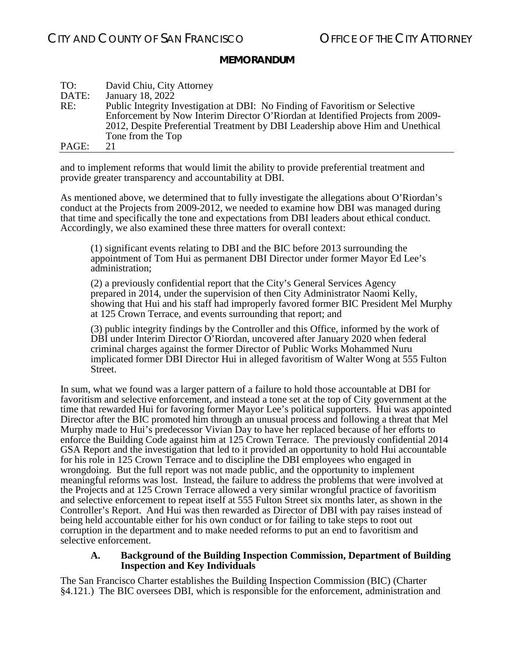| TO:   | David Chiu, City Attorney                                                       |
|-------|---------------------------------------------------------------------------------|
| DATE: | January 18, 2022                                                                |
| RE:   | Public Integrity Investigation at DBI: No Finding of Favoritism or Selective    |
|       | Enforcement by Now Interim Director O'Riordan at Identified Projects from 2009- |
|       | 2012, Despite Preferential Treatment by DBI Leadership above Him and Unethical  |
|       | Tone from the Top                                                               |
| PAGE: | 21                                                                              |

and to implement reforms that would limit the ability to provide preferential treatment and provide greater transparency and accountability at DBI.

As mentioned above, we determined that to fully investigate the allegations about O'Riordan's conduct at the Projects from 2009-2012, we needed to examine how DBI was managed during that time and specifically the tone and expectations from DBI leaders about ethical conduct. Accordingly, we also examined these three matters for overall context:

(1) significant events relating to DBI and the BIC before 2013 surrounding the appointment of Tom Hui as permanent DBI Director under former Mayor Ed Lee's administration;

(2) a previously confidential report that the City's General Services Agency prepared in 2014, under the supervision of then City Administrator Naomi Kelly, showing that Hui and his staff had improperly favored former BIC President Mel Murphy at 125 Crown Terrace, and events surrounding that report; and

(3) public integrity findings by the Controller and this Office, informed by the work of DBI under Interim Director O'Riordan, uncovered after January 2020 when federal criminal charges against the former Director of Public Works Mohammed Nuru implicated former DBI Director Hui in alleged favoritism of Walter Wong at 555 Fulton Street.

In sum, what we found was a larger pattern of a failure to hold those accountable at DBI for favoritism and selective enforcement, and instead a tone set at the top of City government at the time that rewarded Hui for favoring former Mayor Lee's political supporters. Hui was appointed Director after the BIC promoted him through an unusual process and following a threat that Mel Murphy made to Hui's predecessor Vivian Day to have her replaced because of her efforts to enforce the Building Code against him at 125 Crown Terrace. The previously confidential 2014 GSA Report and the investigation that led to it provided an opportunity to hold Hui accountable for his role in 125 Crown Terrace and to discipline the DBI employees who engaged in wrongdoing. But the full report was not made public, and the opportunity to implement meaningful reforms was lost. Instead, the failure to address the problems that were involved at the Projects and at 125 Crown Terrace allowed a very similar wrongful practice of favoritism and selective enforcement to repeat itself at 555 Fulton Street six months later, as shown in the Controller's Report. And Hui was then rewarded as Director of DBI with pay raises instead of being held accountable either for his own conduct or for failing to take steps to root out corruption in the department and to make needed reforms to put an end to favoritism and selective enforcement.

#### **A. Background of the Building Inspection Commission, Department of Building Inspection and Key Individuals**

<span id="page-20-0"></span>The San Francisco Charter establishes the Building Inspection Commission (BIC) (Charter §4.121.) The BIC oversees DBI, which is responsible for the enforcement, administration and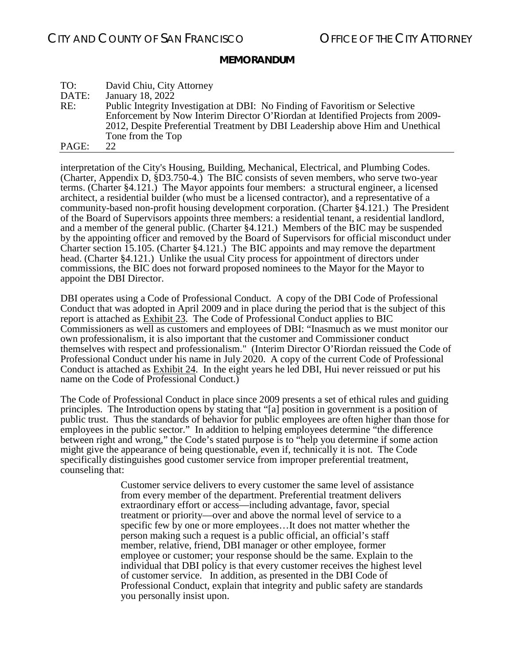| TO:   | David Chiu, City Attorney                                                       |
|-------|---------------------------------------------------------------------------------|
| DATE: | January 18, 2022                                                                |
| RE:   | Public Integrity Investigation at DBI: No Finding of Favoritism or Selective    |
|       | Enforcement by Now Interim Director O'Riordan at Identified Projects from 2009- |
|       | 2012, Despite Preferential Treatment by DBI Leadership above Him and Unethical  |
|       | Tone from the Top                                                               |
| PAGE: | 22.                                                                             |

interpretation of the City's Housing, Building, Mechanical, Electrical, and Plumbing Codes. (Charter, Appendix D, §D3.750-4.) The BIC consists of seven members, who serve two-year terms. (Charter §4.121.) The Mayor appoints four members: a structural engineer, a licensed architect, a residential builder (who must be a licensed contractor), and a representative of a community-based non-profit housing development corporation. (Charter §4.121.) The President of the Board of Supervisors appoints three members: a residential tenant, a residential landlord, and a member of the general public. (Charter §4.121.) Members of the BIC may be suspended by the appointing officer and removed by the Board of Supervisors for official misconduct under Charter section 15.105. (Charter §4.121.) The BIC appoints and may remove the department head. (Charter §4.121.) Unlike the usual City process for appointment of directors under commissions, the BIC does not forward proposed nominees to the Mayor for the Mayor to appoint the DBI Director.

DBI operates using a Code of Professional Conduct. A copy of the DBI Code of Professional Conduct that was adopted in April 2009 and in place during the period that is the subject of this report is attached as Exhibit 23. The Code of Professional Conduct applies to BIC Commissioners as well as customers and employees of DBI: "Inasmuch as we must monitor our own professionalism, it is also important that the customer and Commissioner conduct themselves with respect and professionalism." (Interim Director O'Riordan reissued the Code of Professional Conduct under his name in July 2020. A copy of the current Code of Professional Conduct is attached as Exhibit 24. In the eight years he led DBI, Hui never reissued or put his name on the Code of Professional Conduct.)

The Code of Professional Conduct in place since 2009 presents a set of ethical rules and guiding principles. The Introduction opens by stating that "[a] position in government is a position of public trust. Thus the standards of behavior for public employees are often higher than those for employees in the public sector." In addition to helping employees determine "the difference" between right and wrong," the Code's stated purpose is to "help you determine if some action might give the appearance of being questionable, even if, technically it is not. The Code specifically distinguishes good customer service from improper preferential treatment, counseling that:

> Customer service delivers to every customer the same level of assistance from every member of the department. Preferential treatment delivers extraordinary effort or access—including advantage, favor, special treatment or priority—over and above the normal level of service to a specific few by one or more employees…It does not matter whether the person making such a request is a public official, an official's staff member, relative, friend, DBI manager or other employee, former employee or customer; your response should be the same. Explain to the individual that DBI policy is that every customer receives the highest level of customer service. In addition, as presented in the DBI Code of Professional Conduct, explain that integrity and public safety are standards you personally insist upon.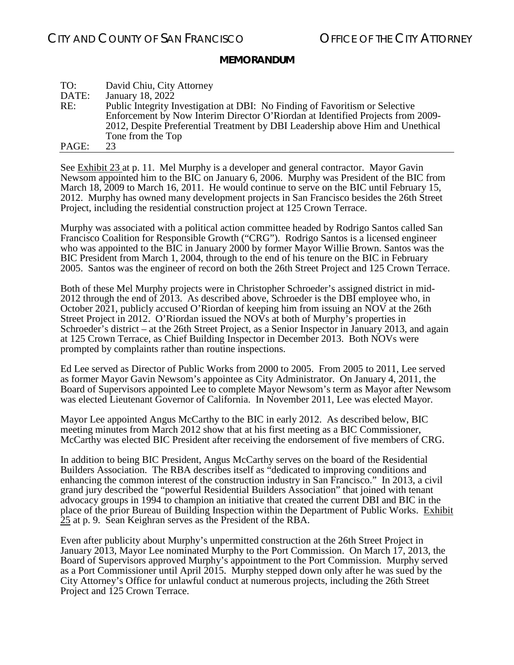| TO:   | David Chiu, City Attorney                                                       |
|-------|---------------------------------------------------------------------------------|
| DATE: | January 18, 2022                                                                |
| RE:   | Public Integrity Investigation at DBI: No Finding of Favoritism or Selective    |
|       | Enforcement by Now Interim Director O'Riordan at Identified Projects from 2009- |
|       | 2012, Despite Preferential Treatment by DBI Leadership above Him and Unethical  |
|       | Tone from the Top                                                               |
| PAGE: | 23                                                                              |

See Exhibit 23 at p. 11. Mel Murphy is a developer and general contractor. Mayor Gavin Newsom appointed him to the BIC on January 6, 2006. Murphy was President of the BIC from March 18, 2009 to March 16, 2011. He would continue to serve on the BIC until February 15, 2012. Murphy has owned many development projects in San Francisco besides the 26th Street Project, including the residential construction project at 125 Crown Terrace.

Murphy was associated with a political action committee headed by Rodrigo Santos called San Francisco Coalition for Responsible Growth ("CRG"). Rodrigo Santos is a licensed engineer who was appointed to the BIC in January 2000 by former Mayor Willie Brown. Santos was the BIC President from March 1, 2004, through to the end of his tenure on the BIC in February 2005. Santos was the engineer of record on both the 26th Street Project and 125 Crown Terrace.

Both of these Mel Murphy projects were in Christopher Schroeder's assigned district in mid-2012 through the end of 2013. As described above, Schroeder is the DBI employee who, in October 2021, publicly accused O'Riordan of keeping him from issuing an NOV at the 26th Street Project in 2012. O'Riordan issued the NOVs at both of Murphy's properties in Schroeder's district – at the 26th Street Project, as a Senior Inspector in January 2013, and again at 125 Crown Terrace, as Chief Building Inspector in December 2013. Both NOVs were prompted by complaints rather than routine inspections.

Ed Lee served as Director of Public Works from 2000 to 2005. From 2005 to 2011, Lee served as former Mayor Gavin Newsom's appointee as City Administrator. On January 4, 2011, the Board of Supervisors appointed Lee to complete Mayor Newsom's term as Mayor after Newsom was elected Lieutenant Governor of California. In November 2011, Lee was elected Mayor.

Mayor Lee appointed Angus McCarthy to the BIC in early 2012. As described below, BIC meeting minutes from March 2012 show that at his first meeting as a BIC Commissioner, McCarthy was elected BIC President after receiving the endorsement of five members of CRG.

In addition to being BIC President, Angus McCarthy serves on the board of the Residential Builders Association. The RBA describes itself as "dedicated to improving conditions and enhancing the common interest of the construction industry in San Francisco." In 2013, a civil grand jury described the "powerful Residential Builders Association" that joined with tenant advocacy groups in 1994 to champion an initiative that created the current DBI and BIC in the place of the prior Bureau of Building Inspection within the Department of Public Works. Exhibit 25 at p. 9. Sean Keighran serves as the President of the RBA.

Even after publicity about Murphy's unpermitted construction at the 26th Street Project in January 2013, Mayor Lee nominated Murphy to the Port Commission. On March 17, 2013, the Board of Supervisors approved Murphy's appointment to the Port Commission. Murphy served as a Port Commissioner until April 2015. Murphy stepped down only after he was sued by the City Attorney's Office for unlawful conduct at numerous projects, including the 26th Street Project and 125 Crown Terrace.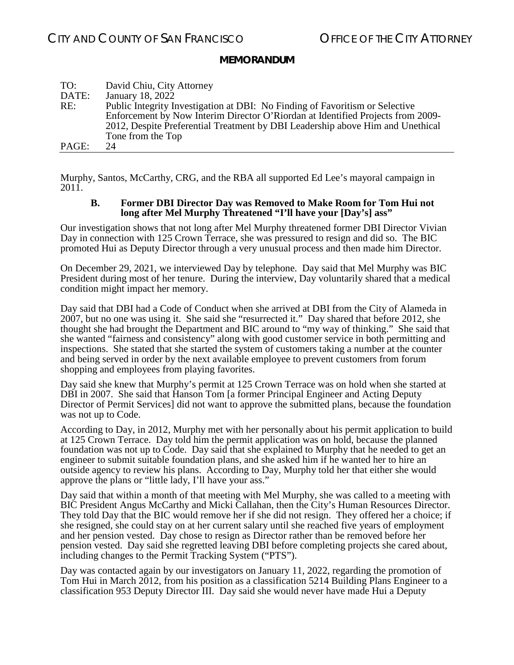| TO:   | David Chiu, City Attorney                                                       |
|-------|---------------------------------------------------------------------------------|
| DATE: | January 18, 2022                                                                |
| RE:   | Public Integrity Investigation at DBI: No Finding of Favoritism or Selective    |
|       | Enforcement by Now Interim Director O'Riordan at Identified Projects from 2009- |
|       | 2012, Despite Preferential Treatment by DBI Leadership above Him and Unethical  |
|       | Tone from the Top                                                               |
| PAGE: | 24                                                                              |

<span id="page-23-0"></span>Murphy, Santos, McCarthy, CRG, and the RBA all supported Ed Lee's mayoral campaign in 2011.

#### **B. Former DBI Director Day was Removed to Make Room for Tom Hui not long after Mel Murphy Threatened "I'll have your [Day's] ass"**

Our investigation shows that not long after Mel Murphy threatened former DBI Director Vivian Day in connection with 125 Crown Terrace, she was pressured to resign and did so. The BIC promoted Hui as Deputy Director through a very unusual process and then made him Director.

On December 29, 2021, we interviewed Day by telephone. Day said that Mel Murphy was BIC President during most of her tenure. During the interview, Day voluntarily shared that a medical condition might impact her memory.

Day said that DBI had a Code of Conduct when she arrived at DBI from the City of Alameda in 2007, but no one was using it. She said she "resurrected it." Day shared that before 2012, she thought she had brought the Department and BIC around to "my way of thinking." She said that she wanted "fairness and consistency" along with good customer service in both permitting and inspections. She stated that she started the system of customers taking a number at the counter and being served in order by the next available employee to prevent customers from forum shopping and employees from playing favorites.

Day said she knew that Murphy's permit at 125 Crown Terrace was on hold when she started at DBI in 2007. She said that Hanson Tom [a former Principal Engineer and Acting Deputy Director of Permit Services] did not want to approve the submitted plans, because the foundation was not up to Code.

According to Day, in 2012, Murphy met with her personally about his permit application to build at 125 Crown Terrace. Day told him the permit application was on hold, because the planned foundation was not up to Code. Day said that she explained to Murphy that he needed to get an engineer to submit suitable foundation plans, and she asked him if he wanted her to hire an outside agency to review his plans. According to Day, Murphy told her that either she would approve the plans or "little lady, I'll have your ass."

Day said that within a month of that meeting with Mel Murphy, she was called to a meeting with BIC President Angus McCarthy and Micki Callahan, then the City's Human Resources Director. They told Day that the BIC would remove her if she did not resign. They offered her a choice; if she resigned, she could stay on at her current salary until she reached five years of employment and her pension vested. Day chose to resign as Director rather than be removed before her pension vested. Day said she regretted leaving DBI before completing projects she cared about, including changes to the Permit Tracking System ("PTS").

Day was contacted again by our investigators on January 11, 2022, regarding the promotion of Tom Hui in March 2012, from his position as a classification 5214 Building Plans Engineer to a classification 953 Deputy Director III. Day said she would never have made Hui a Deputy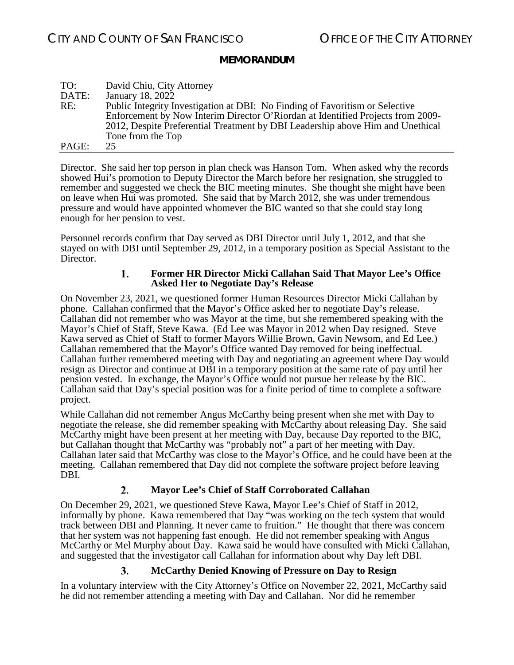| TO:   | David Chiu, City Attorney                                                       |
|-------|---------------------------------------------------------------------------------|
| DATE: | January 18, 2022                                                                |
| RE:   | Public Integrity Investigation at DBI: No Finding of Favoritism or Selective    |
|       | Enforcement by Now Interim Director O'Riordan at Identified Projects from 2009- |
|       | 2012, Despite Preferential Treatment by DBI Leadership above Him and Unethical  |
|       | Tone from the Top                                                               |
| PAGE: | 25.                                                                             |

Director. She said her top person in plan check was Hanson Tom. When asked why the records showed Hui's promotion to Deputy Director the March before her resignation, she struggled to remember and suggested we check the BIC meeting minutes. She thought she might have been on leave when Hui was promoted. She said that by March 2012, she was under tremendous pressure and would have appointed whomever the BIC wanted so that she could stay long enough for her pension to vest.

<span id="page-24-0"></span>Personnel records confirm that Day served as DBI Director until July 1, 2012, and that she stayed on with DBI until September 29, 2012, in a temporary position as Special Assistant to the Director.

#### 1. **Former HR Director Micki Callahan Said That Mayor Lee's Office Asked Her to Negotiate Day's Release**

On November 23, 2021, we questioned former Human Resources Director Micki Callahan by phone. Callahan confirmed that the Mayor's Office asked her to negotiate Day's release. Callahan did not remember who was Mayor at the time, but she remembered speaking with the Mayor's Chief of Staff, Steve Kawa. (Ed Lee was Mayor in 2012 when Day resigned. Steve Kawa served as Chief of Staff to former Mayors Willie Brown, Gavin Newsom, and Ed Lee.) Callahan remembered that the Mayor's Office wanted Day removed for being ineffectual. Callahan further remembered meeting with Day and negotiating an agreement where Day would resign as Director and continue at DBI in a temporary position at the same rate of pay until her pension vested. In exchange, the Mayor's Office would not pursue her release by the BIC. Callahan said that Day's special position was for a finite period of time to complete a software project.

While Callahan did not remember Angus McCarthy being present when she met with Day to negotiate the release, she did remember speaking with McCarthy about releasing Day. She said McCarthy might have been present at her meeting with Day, because Day reported to the BIC, but Callahan thought that McCarthy was "probably not" a part of her meeting with Day. Callahan later said that McCarthy was close to the Mayor's Office, and he could have been at the meeting. Callahan remembered that Day did not complete the software project before leaving DBI.

#### **Mayor Lee's Chief of Staff Corroborated Callahan**  $2.$

<span id="page-24-1"></span>On December 29, 2021, we questioned Steve Kawa, Mayor Lee's Chief of Staff in 2012, informally by phone. Kawa remembered that Day "was working on the tech system that would track between DBI and Planning. It never came to fruition." He thought that there was concern that her system was not happening fast enough. He did not remember speaking with Angus McCarthy or Mel Murphy about Day. Kawa said he would have consulted with Micki Callahan, and suggested that the investigator call Callahan for information about why Day left DBI.

#### 3. **McCarthy Denied Knowing of Pressure on Day to Resign**

<span id="page-24-2"></span>In a voluntary interview with the City Attorney's Office on November 22, 2021, McCarthy said he did not remember attending a meeting with Day and Callahan. Nor did he remember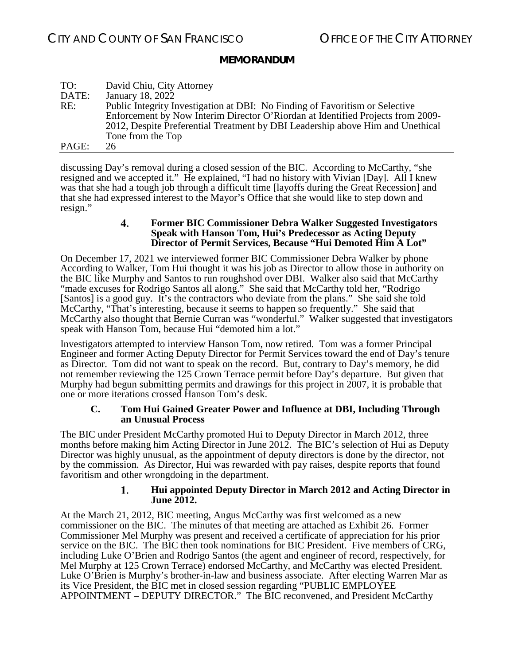| TO:   | David Chiu, City Attorney                                                       |
|-------|---------------------------------------------------------------------------------|
| DATE: | January 18, 2022                                                                |
| RE:   | Public Integrity Investigation at DBI: No Finding of Favoritism or Selective    |
|       | Enforcement by Now Interim Director O'Riordan at Identified Projects from 2009- |
|       | 2012, Despite Preferential Treatment by DBI Leadership above Him and Unethical  |
|       | Tone from the Top                                                               |
| PAGE: | 26.                                                                             |

discussing Day's removal during a closed session of the BIC. According to McCarthy, "she resigned and we accepted it." He explained, "I had no history with Vivian [Day]. All I knew was that she had a tough job through a difficult time [layoffs during the Great Recession] and that she had expressed interest to the Mayor's Office that she would like to step down and resign."

#### $\boldsymbol{4}$ . **Former BIC Commissioner Debra Walker Suggested Investigators Speak with Hanson Tom, Hui's Predecessor as Acting Deputy Director of Permit Services, Because "Hui Demoted Him A Lot"**

<span id="page-25-0"></span>On December 17, 2021 we interviewed former BIC Commissioner Debra Walker by phone According to Walker, Tom Hui thought it was his job as Director to allow those in authority on the BIC like Murphy and Santos to run roughshod over DBI. Walker also said that McCarthy "made excuses for Rodrigo Santos all along." She said that McCarthy told her, "Rodrigo [Santos] is a good guy. It's the contractors who deviate from the plans." She said she told McCarthy, "That's interesting, because it seems to happen so frequently." She said that McCarthy also thought that Bernie Curran was "wonderful." Walker suggested that investigators speak with Hanson Tom, because Hui "demoted him a lot."

Investigators attempted to interview Hanson Tom, now retired. Tom was a former Principal Engineer and former Acting Deputy Director for Permit Services toward the end of Day's tenure as Director. Tom did not want to speak on the record. But, contrary to Day's memory, he did not remember reviewing the 125 Crown Terrace permit before Day's departure. But given that Murphy had begun submitting permits and drawings for this project in 2007, it is probable that one or more iterations crossed Hanson Tom's desk.

### **C. Tom Hui Gained Greater Power and Influence at DBI, Including Through an Unusual Process**

<span id="page-25-1"></span>The BIC under President McCarthy promoted Hui to Deputy Director in March 2012, three months before making him Acting Director in June 2012. The BIC's selection of Hui as Deputy Director was highly unusual, as the appointment of deputy directors is done by the director, not by the commission. As Director, Hui was rewarded with pay raises, despite reports that found favoritism and other wrongdoing in the department.

#### **Hui appointed Deputy Director in March 2012 and Acting Director in**  1. **June 2012.**

<span id="page-25-2"></span>At the March 21, 2012, BIC meeting, Angus McCarthy was first welcomed as a new commissioner on the BIC. The minutes of that meeting are attached as Exhibit 26. Former Commissioner Mel Murphy was present and received a certificate of appreciation for his prior service on the BIC. The BIC then took nominations for BIC President. Five members of CRG, including Luke O'Brien and Rodrigo Santos (the agent and engineer of record, respectively, for Mel Murphy at 125 Crown Terrace) endorsed McCarthy, and McCarthy was elected President. Luke O'Brien is Murphy's brother-in-law and business associate. After electing Warren Mar as its Vice President, the BIC met in closed session regarding "PUBLIC EMPLOYEE APPOINTMENT – DEPUTY DIRECTOR." The BIC reconvened, and President McCarthy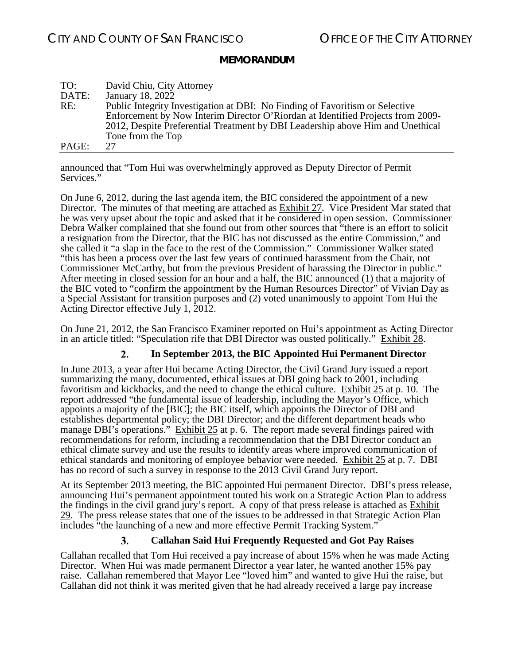| TO:   | David Chiu, City Attorney                                                       |
|-------|---------------------------------------------------------------------------------|
| DATE: | January 18, 2022                                                                |
| RE:   | Public Integrity Investigation at DBI: No Finding of Favoritism or Selective    |
|       | Enforcement by Now Interim Director O'Riordan at Identified Projects from 2009- |
|       | 2012, Despite Preferential Treatment by DBI Leadership above Him and Unethical  |
|       | Tone from the Top                                                               |
| PAGE: | 27                                                                              |

announced that "Tom Hui was overwhelmingly approved as Deputy Director of Permit Services."

On June 6, 2012, during the last agenda item, the BIC considered the appointment of a new Director. The minutes of that meeting are attached as Exhibit 27. Vice President Mar stated that he was very upset about the topic and asked that it be considered in open session. Commissioner Debra Walker complained that she found out from other sources that "there is an effort to solicit a resignation from the Director, that the BIC has not discussed as the entire Commission," and she called it "a slap in the face to the rest of the Commission." Commissioner Walker stated "this has been a process over the last few years of continued harassment from the Chair, not Commissioner McCarthy, but from the previous President of harassing the Director in public." After meeting in closed session for an hour and a half, the BIC announced (1) that a majority of the BIC voted to "confirm the appointment by the Human Resources Director" of Vivian Day as a Special Assistant for transition purposes and (2) voted unanimously to appoint Tom Hui the Acting Director effective July 1, 2012.

On June 21, 2012, the San Francisco Examiner reported on Hui's appointment as Acting Director in an article titled: "Speculation rife that DBI Director was ousted politically." Exhibit 28.

#### **In September 2013, the BIC Appointed Hui Permanent Director** 2.

<span id="page-26-0"></span>In June 2013, a year after Hui became Acting Director, the Civil Grand Jury issued a report summarizing the many, documented, ethical issues at DBI going back to 2001, including favoritism and kickbacks, and the need to change the ethical culture. Exhibit 25 at p. 10. The report addressed "the fundamental issue of leadership, including the Mayor's Office, which appoints a majority of the [BIC]; the BIC itself, which appoints the Director of DBI and establishes departmental policy; the DBI Director; and the different department heads who manage DBI's operations." Exhibit 25 at p. 6. The report made several findings paired with recommendations for reform, including a recommendation that the DBI Director conduct an ethical climate survey and use the results to identify areas where improved communication of ethical standards and monitoring of employee behavior were needed. Exhibit 25 at p. 7. DBI has no record of such a survey in response to the 2013 Civil Grand Jury report.

At its September 2013 meeting, the BIC appointed Hui permanent Director. DBI's press release, announcing Hui's permanent appointment touted his work on a Strategic Action Plan to address the findings in the civil grand jury's report. A copy of that press release is attached as **Exhibit** 29. The press release states that one of the issues to be addressed in that Strategic Action Plan includes "the launching of a new and more effective Permit Tracking System."

#### **Callahan Said Hui Frequently Requested and Got Pay Raises** 3.

<span id="page-26-1"></span>Callahan recalled that Tom Hui received a pay increase of about 15% when he was made Acting Director. When Hui was made permanent Director a year later, he wanted another 15% pay raise. Callahan remembered that Mayor Lee "loved him" and wanted to give Hui the raise, but Callahan did not think it was merited given that he had already received a large pay increase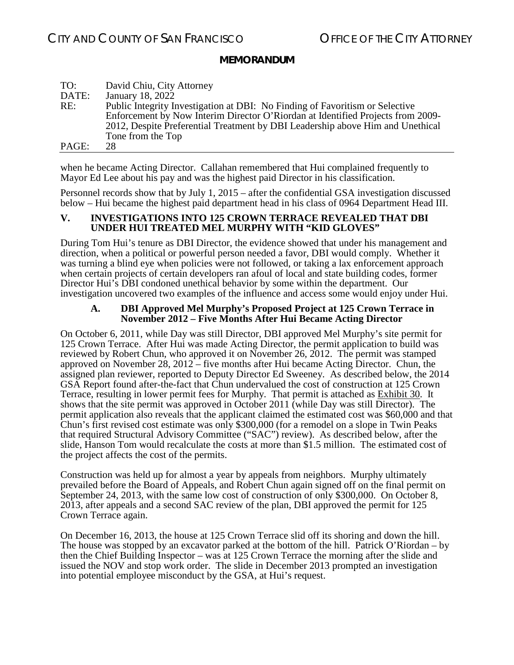| TO:   | David Chiu, City Attorney                                                       |
|-------|---------------------------------------------------------------------------------|
| DATE: | January 18, 2022                                                                |
| RE:   | Public Integrity Investigation at DBI: No Finding of Favoritism or Selective    |
|       | Enforcement by Now Interim Director O'Riordan at Identified Projects from 2009- |
|       | 2012, Despite Preferential Treatment by DBI Leadership above Him and Unethical  |
|       | Tone from the Top                                                               |
| PAGE: | 28.                                                                             |

when he became Acting Director. Callahan remembered that Hui complained frequently to Mayor Ed Lee about his pay and was the highest paid Director in his classification.

Personnel records show that by July 1, 2015 – after the confidential GSA investigation discussed below – Hui became the highest paid department head in his class of 0964 Department Head III.

#### <span id="page-27-0"></span>**V. INVESTIGATIONS INTO 125 CROWN TERRACE REVEALED THAT DBI UNDER HUI TREATED MEL MURPHY WITH "KID GLOVES"**

During Tom Hui's tenure as DBI Director, the evidence showed that under his management and direction, when a political or powerful person needed a favor, DBI would comply. Whether it was turning a blind eye when policies were not followed, or taking a lax enforcement approach when certain projects of certain developers ran afoul of local and state building codes, former Director Hui's DBI condoned unethical behavior by some within the department. Our investigation uncovered two examples of the influence and access some would enjoy under Hui.

#### **A. DBI Approved Mel Murphy's Proposed Project at 125 Crown Terrace in November 2012 – Five Months After Hui Became Acting Director**

<span id="page-27-1"></span>On October 6, 2011, while Day was still Director, DBI approved Mel Murphy's site permit for 125 Crown Terrace. After Hui was made Acting Director, the permit application to build was reviewed by Robert Chun, who approved it on November 26, 2012. The permit was stamped approved on November 28, 2012 – five months after Hui became Acting Director. Chun, the assigned plan reviewer, reported to Deputy Director Ed Sweeney. As described below, the 2014 GSA Report found after-the-fact that Chun undervalued the cost of construction at 125 Crown Terrace, resulting in lower permit fees for Murphy. That permit is attached as **Exhibit 30.** It shows that the site permit was approved in October 2011 (while Day was still Director). The permit application also reveals that the applicant claimed the estimated cost was \$60,000 and that Chun's first revised cost estimate was only \$300,000 (for a remodel on a slope in Twin Peaks that required Structural Advisory Committee ("SAC") review). As described below, after the slide, Hanson Tom would recalculate the costs at more than \$1.5 million. The estimated cost of the project affects the cost of the permits.

Construction was held up for almost a year by appeals from neighbors. Murphy ultimately prevailed before the Board of Appeals, and Robert Chun again signed off on the final permit on September 24, 2013, with the same low cost of construction of only \$300,000. On October 8, 2013, after appeals and a second SAC review of the plan, DBI approved the permit for 125 Crown Terrace again.

On December 16, 2013, the house at 125 Crown Terrace slid off its shoring and down the hill. The house was stopped by an excavator parked at the bottom of the hill. Patrick O'Riordan – by then the Chief Building Inspector – was at 125 Crown Terrace the morning after the slide and issued the NOV and stop work order. The slide in December 2013 prompted an investigation into potential employee misconduct by the GSA, at Hui's request.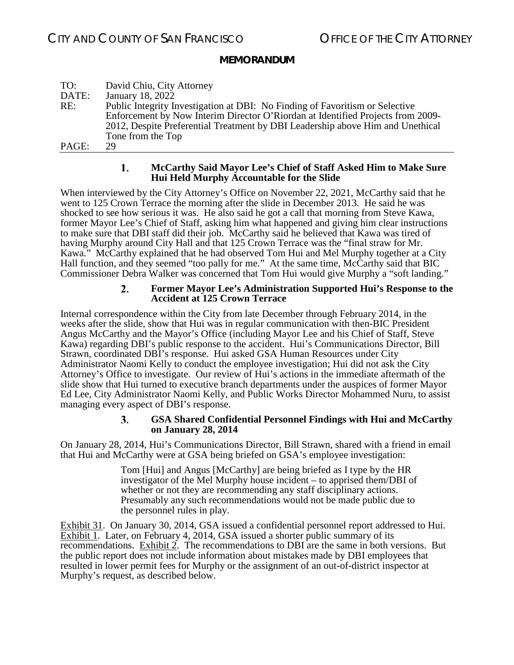| TO:   | David Chiu, City Attorney                                                       |
|-------|---------------------------------------------------------------------------------|
| DATE: | January 18, 2022                                                                |
| RE:   | Public Integrity Investigation at DBI: No Finding of Favoritism or Selective    |
|       | Enforcement by Now Interim Director O'Riordan at Identified Projects from 2009- |
|       | 2012, Despite Preferential Treatment by DBI Leadership above Him and Unethical  |
|       | Tone from the Top                                                               |
| PAGE: | 29                                                                              |

#### 1. **McCarthy Said Mayor Lee's Chief of Staff Asked Him to Make Sure Hui Held Murphy Accountable for the Slide**

<span id="page-28-0"></span>When interviewed by the City Attorney's Office on November 22, 2021, McCarthy said that he went to 125 Crown Terrace the morning after the slide in December 2013. He said he was shocked to see how serious it was. He also said he got a call that morning from Steve Kawa, former Mayor Lee's Chief of Staff, asking him what happened and giving him clear instructions to make sure that DBI staff did their job. McCarthy said he believed that Kawa was tired of having Murphy around City Hall and that 125 Crown Terrace was the "final straw for Mr. Kawa." McCarthy explained that he had observed Tom Hui and Mel Murphy together at a City Hall function, and they seemed "too pally for me." At the same time, McCarthy said that BIC Commissioner Debra Walker was concerned that Tom Hui would give Murphy a "soft landing."

#### $2.$ **Former Mayor Lee's Administration Supported Hui's Response to the Accident at 125 Crown Terrace**

<span id="page-28-1"></span>Internal correspondence within the City from late December through February 2014, in the weeks after the slide, show that Hui was in regular communication with then-BIC President Angus McCarthy and the Mayor's Office (including Mayor Lee and his Chief of Staff, Steve Kawa) regarding DBI's public response to the accident. Hui's Communications Director, Bill Strawn, coordinated DBI's response. Hui asked GSA Human Resources under City Administrator Naomi Kelly to conduct the employee investigation; Hui did not ask the City Attorney's Office to investigate. Our review of Hui's actions in the immediate aftermath of the slide show that Hui turned to executive branch departments under the auspices of former Mayor Ed Lee, City Administrator Naomi Kelly, and Public Works Director Mohammed Nuru, to assist managing every aspect of DBI's response.

#### $3.$ **GSA Shared Confidential Personnel Findings with Hui and McCarthy on January 28, 2014**

<span id="page-28-2"></span>On January 28, 2014, Hui's Communications Director, Bill Strawn, shared with a friend in email that Hui and McCarthy were at GSA being briefed on GSA's employee investigation:

> Tom [Hui] and Angus [McCarthy] are being briefed as I type by the HR investigator of the Mel Murphy house incident – to apprised them/DBI of whether or not they are recommending any staff disciplinary actions. Presumably any such recommendations would not be made public due to the personnel rules in play.

Exhibit 31. On January 30, 2014, GSA issued a confidential personnel report addressed to Hui. Exhibit 1. Later, on February 4, 2014, GSA issued a shorter public summary of its recommendations. Exhibit 2. The recommendations to DBI are the same in both versions. But the public report does not include information about mistakes made by DBI employees that resulted in lower permit fees for Murphy or the assignment of an out-of-district inspector at Murphy's request, as described below.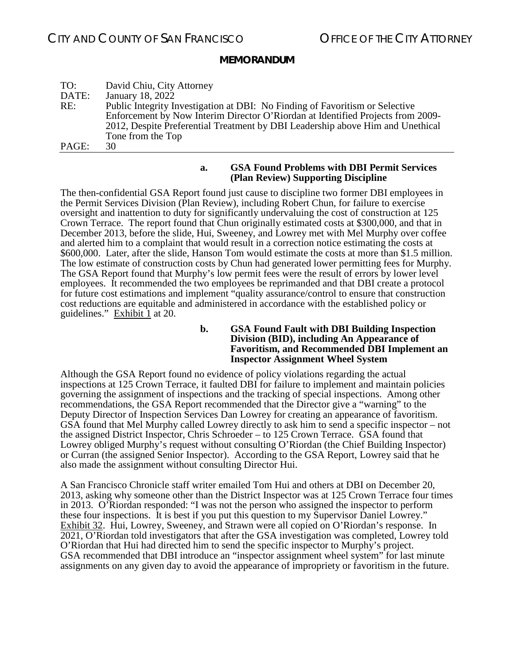| TO:   | David Chiu, City Attorney                                                       |
|-------|---------------------------------------------------------------------------------|
| DATE: | January 18, 2022                                                                |
| RE:   | Public Integrity Investigation at DBI: No Finding of Favoritism or Selective    |
|       | Enforcement by Now Interim Director O'Riordan at Identified Projects from 2009- |
|       | 2012, Despite Preferential Treatment by DBI Leadership above Him and Unethical  |
|       | Tone from the Top                                                               |
| PAGE: | 30                                                                              |

#### **a. GSA Found Problems with DBI Permit Services (Plan Review) Supporting Discipline**

<span id="page-29-0"></span>The then-confidential GSA Report found just cause to discipline two former DBI employees in the Permit Services Division (Plan Review), including Robert Chun, for failure to exercise oversight and inattention to duty for significantly undervaluing the cost of construction at 125 Crown Terrace. The report found that Chun originally estimated costs at \$300,000, and that in December 2013, before the slide, Hui, Sweeney, and Lowrey met with Mel Murphy over coffee and alerted him to a complaint that would result in a correction notice estimating the costs at \$600,000. Later, after the slide, Hanson Tom would estimate the costs at more than \$1.5 million. The low estimate of construction costs by Chun had generated lower permitting fees for Murphy. The GSA Report found that Murphy's low permit fees were the result of errors by lower level employees. It recommended the two employees be reprimanded and that DBI create a protocol for future cost estimations and implement "quality assurance/control to ensure that construction cost reductions are equitable and administered in accordance with the established policy or guidelines." Exhibit  $\overline{1}$  at 20.

> **b. GSA Found Fault with DBI Building Inspection Division (BID), including An Appearance of Favoritism, and Recommended DBI Implement an Inspector Assignment Wheel System**

<span id="page-29-1"></span>Although the GSA Report found no evidence of policy violations regarding the actual inspections at 125 Crown Terrace, it faulted DBI for failure to implement and maintain policies governing the assignment of inspections and the tracking of special inspections. Among other recommendations, the GSA Report recommended that the Director give a "warning" to the Deputy Director of Inspection Services Dan Lowrey for creating an appearance of favoritism. GSA found that Mel Murphy called Lowrey directly to ask him to send a specific inspector – not the assigned District Inspector, Chris Schroeder – to 125 Crown Terrace. GSA found that Lowrey obliged Murphy's request without consulting O'Riordan (the Chief Building Inspector) or Curran (the assigned Senior Inspector). According to the GSA Report, Lowrey said that he also made the assignment without consulting Director Hui.

A San Francisco Chronicle staff writer emailed Tom Hui and others at DBI on December 20, 2013, asking why someone other than the District Inspector was at 125 Crown Terrace four times in 2013. O'Riordan responded: "I was not the person who assigned the inspector to perform these four inspections. It is best if you put this question to my Supervisor Daniel Lowrey." Exhibit 32. Hui, Lowrey, Sweeney, and Strawn were all copied on O'Riordan's response. In 2021, O'Riordan told investigators that after the GSA investigation was completed, Lowrey told O'Riordan that Hui had directed him to send the specific inspector to Murphy's project. GSA recommended that DBI introduce an "inspector assignment wheel system" for last minute assignments on any given day to avoid the appearance of impropriety or favoritism in the future.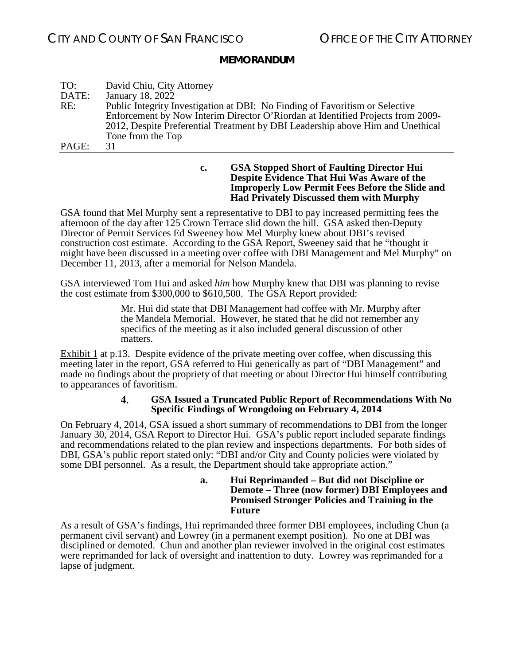| TO:   | David Chiu, City Attorney                                                       |
|-------|---------------------------------------------------------------------------------|
| DATE: | January 18, 2022                                                                |
| RE:   | Public Integrity Investigation at DBI: No Finding of Favoritism or Selective    |
|       | Enforcement by Now Interim Director O'Riordan at Identified Projects from 2009- |
|       | 2012, Despite Preferential Treatment by DBI Leadership above Him and Unethical  |
|       | Tone from the Top                                                               |
| PAGE: | 31                                                                              |

**c. GSA Stopped Short of Faulting Director Hui Despite Evidence That Hui Was Aware of the Improperly Low Permit Fees Before the Slide and Had Privately Discussed them with Murphy**

<span id="page-30-0"></span>GSA found that Mel Murphy sent a representative to DBI to pay increased permitting fees the afternoon of the day after 125 Crown Terrace slid down the hill. GSA asked then-Deputy Director of Permit Services Ed Sweeney how Mel Murphy knew about DBI's revised construction cost estimate. According to the GSA Report, Sweeney said that he "thought it might have been discussed in a meeting over coffee with DBI Management and Mel Murphy" on December 11, 2013, after a memorial for Nelson Mandela.

GSA interviewed Tom Hui and asked *him* how Murphy knew that DBI was planning to revise the cost estimate from \$300,000 to \$610,500. The GSA Report provided:

> Mr. Hui did state that DBI Management had coffee with Mr. Murphy after the Mandela Memorial. However, he stated that he did not remember any specifics of the meeting as it also included general discussion of other matters.

Exhibit 1 at p.13. Despite evidence of the private meeting over coffee, when discussing this meeting later in the report, GSA referred to Hui generically as part of "DBI Management" and made no findings about the propriety of that meeting or about Director Hui himself contributing to appearances of favoritism.

#### **GSA Issued a Truncated Public Report of Recommendations With No**  4. **Specific Findings of Wrongdoing on February 4, 2014**

<span id="page-30-2"></span><span id="page-30-1"></span>On February 4, 2014, GSA issued a short summary of recommendations to DBI from the longer January 30, 2014, GSA Report to Director Hui. GSA's public report included separate findings and recommendations related to the plan review and inspections departments. For both sides of DBI, GSA's public report stated only: "DBI and/or City and County policies were violated by some DBI personnel. As a result, the Department should take appropriate action."

> **a. Hui Reprimanded – But did not Discipline or Demote – Three (now former) DBI Employees and Promised Stronger Policies and Training in the Future**

As a result of GSA's findings, Hui reprimanded three former DBI employees, including Chun (a permanent civil servant) and Lowrey (in a permanent exempt position). No one at DBI was disciplined or demoted. Chun and another plan reviewer involved in the original cost estimates were reprimanded for lack of oversight and inattention to duty. Lowrey was reprimanded for a lapse of judgment.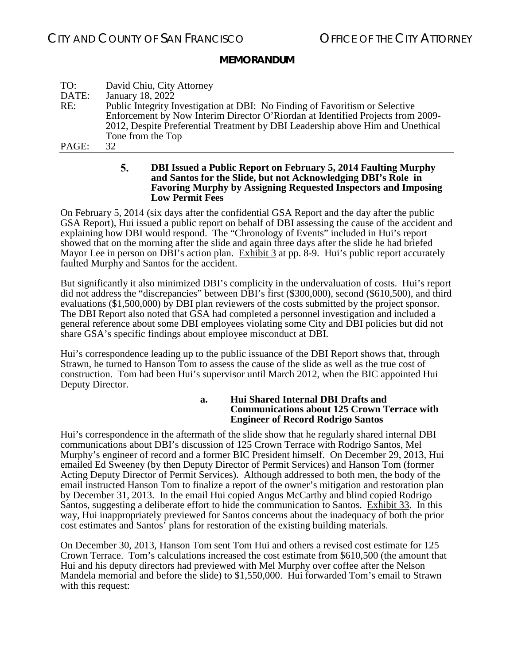| TO:   | David Chiu, City Attorney                                                       |
|-------|---------------------------------------------------------------------------------|
| DATE: | January 18, 2022                                                                |
| RE:   | Public Integrity Investigation at DBI: No Finding of Favoritism or Selective    |
|       | Enforcement by Now Interim Director O'Riordan at Identified Projects from 2009- |
|       | 2012, Despite Preferential Treatment by DBI Leadership above Him and Unethical  |
|       | Tone from the Top                                                               |
| PAGE: | 32.                                                                             |

#### 5. **DBI Issued a Public Report on February 5, 2014 Faulting Murphy and Santos for the Slide, but not Acknowledging DBI's Role in Favoring Murphy by Assigning Requested Inspectors and Imposing Low Permit Fees**

<span id="page-31-0"></span>On February 5, 2014 (six days after the confidential GSA Report and the day after the public GSA Report), Hui issued a public report on behalf of DBI assessing the cause of the accident and explaining how DBI would respond. The "Chronology of Events" included in Hui's report showed that on the morning after the slide and again three days after the slide he had briefed Mayor Lee in person on DBI's action plan. Exhibit 3 at pp. 8-9. Hui's public report accurately faulted Murphy and Santos for the accident.

But significantly it also minimized DBI's complicity in the undervaluation of costs. Hui's report did not address the "discrepancies" between DBI's first (\$300,000), second (\$610,500), and third evaluations (\$1,500,000) by DBI plan reviewers of the costs submitted by the project sponsor. The DBI Report also noted that GSA had completed a personnel investigation and included a general reference about some DBI employees violating some City and DBI policies but did not share GSA's specific findings about employee misconduct at DBI.

<span id="page-31-1"></span>Hui's correspondence leading up to the public issuance of the DBI Report shows that, through Strawn, he turned to Hanson Tom to assess the cause of the slide as well as the true cost of construction. Tom had been Hui's supervisor until March 2012, when the BIC appointed Hui Deputy Director.

#### **a. Hui Shared Internal DBI Drafts and Communications about 125 Crown Terrace with Engineer of Record Rodrigo Santos**

Hui's correspondence in the aftermath of the slide show that he regularly shared internal DBI communications about DBI's discussion of 125 Crown Terrace with Rodrigo Santos, Mel Murphy's engineer of record and a former BIC President himself. On December 29, 2013, Hui emailed Ed Sweeney (by then Deputy Director of Permit Services) and Hanson Tom (former Acting Deputy Director of Permit Services). Although addressed to both men, the body of the email instructed Hanson Tom to finalize a report of the owner's mitigation and restoration plan by December 31, 2013. In the email Hui copied Angus McCarthy and blind copied Rodrigo Santos, suggesting a deliberate effort to hide the communication to Santos. Exhibit 33. In this way, Hui inappropriately previewed for Santos concerns about the inadequacy of both the prior cost estimates and Santos' plans for restoration of the existing building materials.

On December 30, 2013, Hanson Tom sent Tom Hui and others a revised cost estimate for 125 Crown Terrace. Tom's calculations increased the cost estimate from \$610,500 (the amount that Hui and his deputy directors had previewed with Mel Murphy over coffee after the Nelson Mandela memorial and before the slide) to \$1,550,000. Hui forwarded Tom's email to Strawn with this request: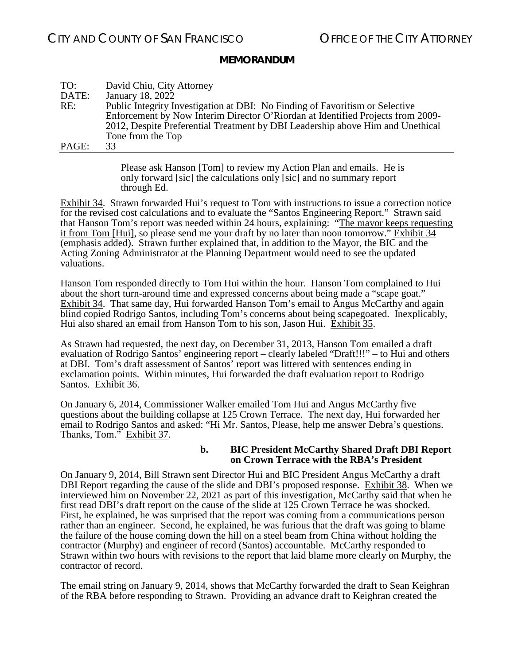| TO:   | David Chiu, City Attorney                                                       |
|-------|---------------------------------------------------------------------------------|
| DATE: | January 18, 2022                                                                |
| RE:   | Public Integrity Investigation at DBI: No Finding of Favoritism or Selective    |
|       | Enforcement by Now Interim Director O'Riordan at Identified Projects from 2009- |
|       | 2012, Despite Preferential Treatment by DBI Leadership above Him and Unethical  |
|       | Tone from the Top                                                               |
| PAGE: | 33                                                                              |

Please ask Hanson [Tom] to review my Action Plan and emails. He is only forward [sic] the calculations only [sic] and no summary report through Ed.

Exhibit 34. Strawn forwarded Hui's request to Tom with instructions to issue a correction notice for the revised cost calculations and to evaluate the "Santos Engineering Report." Strawn said that Hanson Tom's report was needed within 24 hours, explaining: "The mayor keeps requesting it from Tom [Hui], so please send me your draft by no later than noon tomorrow." Exhibit 34 (emphasis added). Strawn further explained that, in addition to the Mayor, the BIC and the Acting Zoning Administrator at the Planning Department would need to see the updated valuations.

Hanson Tom responded directly to Tom Hui within the hour. Hanson Tom complained to Hui about the short turn-around time and expressed concerns about being made a "scape goat." Exhibit 34. That same day, Hui forwarded Hanson Tom's email to Angus McCarthy and again blind copied Rodrigo Santos, including Tom's concerns about being scapegoated. Inexplicably, Hui also shared an email from Hanson Tom to his son, Jason Hui. Exhibit 35.

As Strawn had requested, the next day, on December 31, 2013, Hanson Tom emailed a draft evaluation of Rodrigo Santos' engineering report – clearly labeled "Draft!!!" – to Hui and others at DBI. Tom's draft assessment of Santos' report was littered with sentences ending in exclamation points. Within minutes, Hui forwarded the draft evaluation report to Rodrigo Santos. Exhibit 36.

On January 6, 2014, Commissioner Walker emailed Tom Hui and Angus McCarthy five questions about the building collapse at 125 Crown Terrace. The next day, Hui forwarded her email to Rodrigo Santos and asked: "Hi Mr. Santos, Please, help me answer Debra's questions. Thanks, Tom." Exhibit 37.

#### **b. BIC President McCarthy Shared Draft DBI Report on Crown Terrace with the RBA's President**

<span id="page-32-0"></span>On January 9, 2014, Bill Strawn sent Director Hui and BIC President Angus McCarthy a draft DBI Report regarding the cause of the slide and DBI's proposed response. Exhibit 38. When we interviewed him on November 22, 2021 as part of this investigation, McCarthy said that when he first read DBI's draft report on the cause of the slide at 125 Crown Terrace he was shocked. First, he explained, he was surprised that the report was coming from a communications person rather than an engineer. Second, he explained, he was furious that the draft was going to blame the failure of the house coming down the hill on a steel beam from China without holding the contractor (Murphy) and engineer of record (Santos) accountable. McCarthy responded to Strawn within two hours with revisions to the report that laid blame more clearly on Murphy, the contractor of record.

The email string on January 9, 2014, shows that McCarthy forwarded the draft to Sean Keighran of the RBA before responding to Strawn. Providing an advance draft to Keighran created the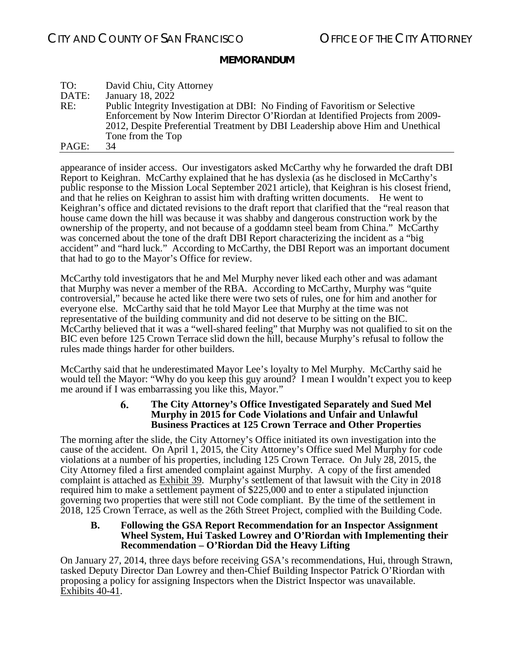| TO:   | David Chiu, City Attorney                                                       |
|-------|---------------------------------------------------------------------------------|
| DATE: | January 18, 2022                                                                |
| RE:   | Public Integrity Investigation at DBI: No Finding of Favoritism or Selective    |
|       | Enforcement by Now Interim Director O'Riordan at Identified Projects from 2009- |
|       | 2012, Despite Preferential Treatment by DBI Leadership above Him and Unethical  |
|       | Tone from the Top                                                               |
| PAGE: | 34                                                                              |

appearance of insider access. Our investigators asked McCarthy why he forwarded the draft DBI Report to Keighran. McCarthy explained that he has dyslexia (as he disclosed in McCarthy's public response to the Mission Local September 2021 article), that Keighran is his closest friend, and that he relies on Keighran to assist him with drafting written documents. He went to Keighran's office and dictated revisions to the draft report that clarified that the "real reason that house came down the hill was because it was shabby and dangerous construction work by the ownership of the property, and not because of a goddamn steel beam from China." McCarthy was concerned about the tone of the draft DBI Report characterizing the incident as a "big accident" and "hard luck." According to McCarthy, the DBI Report was an important document that had to go to the Mayor's Office for review.

McCarthy told investigators that he and Mel Murphy never liked each other and was adamant that Murphy was never a member of the RBA. According to McCarthy, Murphy was "quite controversial," because he acted like there were two sets of rules, one for him and another for everyone else. McCarthy said that he told Mayor Lee that Murphy at the time was not representative of the building community and did not deserve to be sitting on the BIC. McCarthy believed that it was a "well-shared feeling" that Murphy was not qualified to sit on the BIC even before 125 Crown Terrace slid down the hill, because Murphy's refusal to follow the rules made things harder for other builders.

<span id="page-33-0"></span>McCarthy said that he underestimated Mayor Lee's loyalty to Mel Murphy. McCarthy said he would tell the Mayor: "Why do you keep this guy around? I mean I wouldn't expect you to keep me around if I was embarrassing you like this, Mayor."

#### **The City Attorney's Office Investigated Separately and Sued Mel**  6. **Murphy in 2015 for Code Violations and Unfair and Unlawful Business Practices at 125 Crown Terrace and Other Properties**

The morning after the slide, the City Attorney's Office initiated its own investigation into the cause of the accident. On April 1, 2015, the City Attorney's Office sued Mel Murphy for code violations at a number of his properties, including 125 Crown Terrace. On July 28, 2015, the City Attorney filed a first amended complaint against Murphy. A copy of the first amended complaint is attached as Exhibit 39. Murphy's settlement of that lawsuit with the City in 2018 required him to make a settlement payment of \$225,000 and to enter a stipulated injunction governing two properties that were still not Code compliant. By the time of the settlement in 2018, 125 Crown Terrace, as well as the 26th Street Project, complied with the Building Code.

#### <span id="page-33-1"></span>**B. Following the GSA Report Recommendation for an Inspector Assignment Wheel System, Hui Tasked Lowrey and O'Riordan with Implementing their Recommendation – O'Riordan Did the Heavy Lifting**

On January 27, 2014, three days before receiving GSA's recommendations, Hui, through Strawn, tasked Deputy Director Dan Lowrey and then-Chief Building Inspector Patrick O'Riordan with proposing a policy for assigning Inspectors when the District Inspector was unavailable. Exhibits 40-41.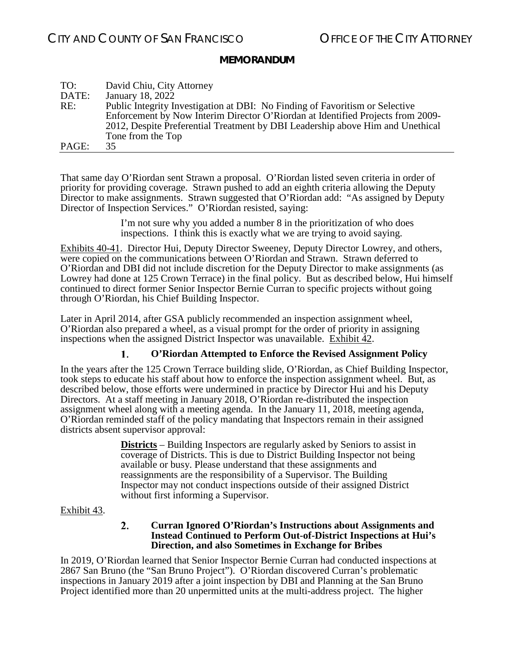| TO:   | David Chiu, City Attorney                                                       |
|-------|---------------------------------------------------------------------------------|
| DATE: | January 18, 2022                                                                |
| RE:   | Public Integrity Investigation at DBI: No Finding of Favoritism or Selective    |
|       | Enforcement by Now Interim Director O'Riordan at Identified Projects from 2009- |
|       | 2012, Despite Preferential Treatment by DBI Leadership above Him and Unethical  |
|       | Tone from the Top                                                               |
| PAGE: | 35.                                                                             |

That same day O'Riordan sent Strawn a proposal. O'Riordan listed seven criteria in order of priority for providing coverage. Strawn pushed to add an eighth criteria allowing the Deputy Director to make assignments. Strawn suggested that O'Riordan add: "As assigned by Deputy Director of Inspection Services." O'Riordan resisted, saying:

> I'm not sure why you added a number 8 in the prioritization of who does inspections. I think this is exactly what we are trying to avoid saying.

Exhibits 40-41. Director Hui, Deputy Director Sweeney, Deputy Director Lowrey, and others, were copied on the communications between O'Riordan and Strawn. Strawn deferred to O'Riordan and DBI did not include discretion for the Deputy Director to make assignments (as Lowrey had done at 125 Crown Terrace) in the final policy. But as described below, Hui himself continued to direct former Senior Inspector Bernie Curran to specific projects without going through O'Riordan, his Chief Building Inspector.

Later in April 2014, after GSA publicly recommended an inspection assignment wheel, O'Riordan also prepared a wheel, as a visual prompt for the order of priority in assigning inspections when the assigned District Inspector was unavailable. Exhibit 42.

#### **O'Riordan Attempted to Enforce the Revised Assignment Policy** 1.

<span id="page-34-0"></span>In the years after the 125 Crown Terrace building slide, O'Riordan, as Chief Building Inspector, took steps to educate his staff about how to enforce the inspection assignment wheel. But, as described below, those efforts were undermined in practice by Director Hui and his Deputy Directors. At a staff meeting in January 2018, O'Riordan re-distributed the inspection assignment wheel along with a meeting agenda. In the January 11, 2018, meeting agenda, O'Riordan reminded staff of the policy mandating that Inspectors remain in their assigned districts absent supervisor approval:

> **Districts** – Building Inspectors are regularly asked by Seniors to assist in coverage of Districts. This is due to District Building Inspector not being available or busy. Please understand that these assignments and reassignments are the responsibility of a Supervisor. The Building Inspector may not conduct inspections outside of their assigned District without first informing a Supervisor.

#### <span id="page-34-1"></span>Exhibit 43.

#### $2.$ **Curran Ignored O'Riordan's Instructions about Assignments and Instead Continued to Perform Out-of-District Inspections at Hui's Direction, and also Sometimes in Exchange for Bribes**

In 2019, O'Riordan learned that Senior Inspector Bernie Curran had conducted inspections at 2867 San Bruno (the "San Bruno Project"). O'Riordan discovered Curran's problematic inspections in January 2019 after a joint inspection by DBI and Planning at the San Bruno Project identified more than 20 unpermitted units at the multi-address project. The higher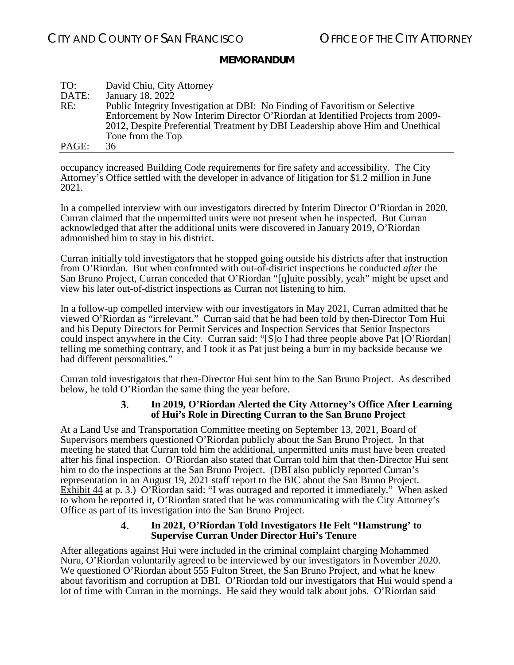| TO:   | David Chiu, City Attorney                                                       |
|-------|---------------------------------------------------------------------------------|
| DATE: | January 18, 2022                                                                |
| RE:   | Public Integrity Investigation at DBI: No Finding of Favoritism or Selective    |
|       | Enforcement by Now Interim Director O'Riordan at Identified Projects from 2009- |
|       | 2012, Despite Preferential Treatment by DBI Leadership above Him and Unethical  |
|       | Tone from the Top                                                               |
| PAGE: | 36                                                                              |

occupancy increased Building Code requirements for fire safety and accessibility.The City Attorney's Office settled with the developer in advance of litigation for \$1.2 million in June 2021.

In a compelled interview with our investigators directed by Interim Director O'Riordan in 2020, Curran claimed that the unpermitted units were not present when he inspected. But Curran acknowledged that after the additional units were discovered in January 2019, O'Riordan admonished him to stay in his district.

Curran initially told investigators that he stopped going outside his districts after that instruction from O'Riordan. But when confronted with out-of-district inspections he conducted *after* the San Bruno Project, Curran conceded that O'Riordan "[q]uite possibly, yeah" might be upset and view his later out-of-district inspections as Curran not listening to him.

In a follow-up compelled interview with our investigators in May 2021, Curran admitted that he viewed O'Riordan as "irrelevant." Curran said that he had been told by then-Director Tom Hui and his Deputy Directors for Permit Services and Inspection Services that Senior Inspectors could inspect anywhere in the City. Curran said: "[S]o I had three people above Pat [O'Riordan] telling me something contrary, and I took it as Pat just being a burr in my backside because we had different personalities."

<span id="page-35-0"></span>Curran told investigators that then-Director Hui sent him to the San Bruno Project. As described below, he told O'Riordan the same thing the year before.

#### $3.$ **In 2019, O'Riordan Alerted the City Attorney's Office After Learning of Hui's Role in Directing Curran to the San Bruno Project**

At a Land Use and Transportation Committee meeting on September 13, 2021, Board of Supervisors members questioned O'Riordan publicly about the San Bruno Project. In that meeting he stated that Curran told him the additional, unpermitted units must have been created after his final inspection. O'Riordan also stated that Curran told him that then-Director Hui sent him to do the inspections at the San Bruno Project. (DBI also publicly reported Curran's representation in an August 19, 2021 staff report to the BIC about the San Bruno Project. Exhibit 44 at p. 3.) O'Riordan said: "I was outraged and reported it immediately." When asked to whom he reported it, O'Riordan stated that he was communicating with the City Attorney's Office as part of its investigation into the San Bruno Project.

#### $\mathbf{4}$ **In 2021, O'Riordan Told Investigators He Felt "Hamstrung' to Supervise Curran Under Director Hui's Tenure**

<span id="page-35-1"></span>After allegations against Hui were included in the criminal complaint charging Mohammed Nuru, O'Riordan voluntarily agreed to be interviewed by our investigators in November 2020. We questioned O'Riordan about 555 Fulton Street, the San Bruno Project, and what he knew about favoritism and corruption at DBI. O'Riordan told our investigators that Hui would spend a lot of time with Curran in the mornings. He said they would talk about jobs. O'Riordan said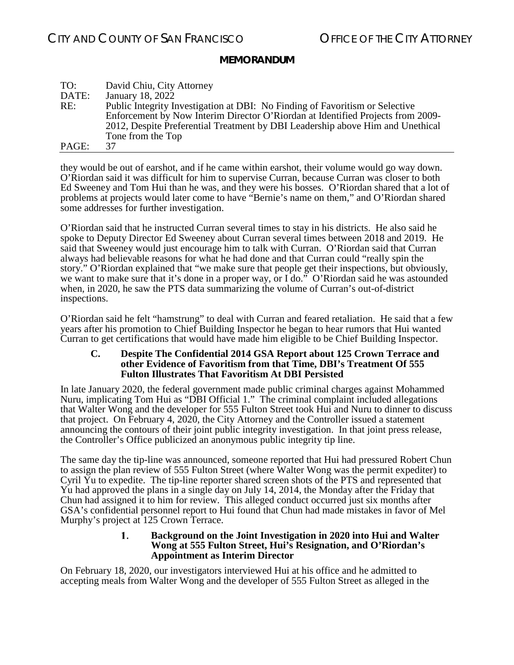| TO:   | David Chiu, City Attorney                                                       |
|-------|---------------------------------------------------------------------------------|
| DATE: | January 18, 2022                                                                |
| RE:   | Public Integrity Investigation at DBI: No Finding of Favoritism or Selective    |
|       | Enforcement by Now Interim Director O'Riordan at Identified Projects from 2009- |
|       | 2012, Despite Preferential Treatment by DBI Leadership above Him and Unethical  |
|       | Tone from the Top                                                               |
| PAGE: | 37                                                                              |

they would be out of earshot, and if he came within earshot, their volume would go way down. O'Riordan said it was difficult for him to supervise Curran, because Curran was closer to both Ed Sweeney and Tom Hui than he was, and they were his bosses. O'Riordan shared that a lot of problems at projects would later come to have "Bernie's name on them," and O'Riordan shared some addresses for further investigation.

O'Riordan said that he instructed Curran several times to stay in his districts. He also said he spoke to Deputy Director Ed Sweeney about Curran several times between 2018 and 2019. He said that Sweeney would just encourage him to talk with Curran. O'Riordan said that Curran always had believable reasons for what he had done and that Curran could "really spin the story." O'Riordan explained that "we make sure that people get their inspections, but obviously, we want to make sure that it's done in a proper way, or I do." O'Riordan said he was astounded when, in 2020, he saw the PTS data summarizing the volume of Curran's out-of-district inspections.

O'Riordan said he felt "hamstrung" to deal with Curran and feared retaliation. He said that a few years after his promotion to Chief Building Inspector he began to hear rumors that Hui wanted Curran to get certifications that would have made him eligible to be Chief Building Inspector.

#### <span id="page-36-0"></span>**C. Despite The Confidential 2014 GSA Report about 125 Crown Terrace and other Evidence of Favoritism from that Time, DBI's Treatment Of 555 Fulton Illustrates That Favoritism At DBI Persisted**

In late January 2020, the federal government made public criminal charges against Mohammed Nuru, implicating Tom Hui as "DBI Official 1." The criminal complaint included allegations that Walter Wong and the developer for 555 Fulton Street took Hui and Nuru to dinner to discuss that project. On February 4, 2020, the City Attorney and the Controller issued a statement announcing the contours of their joint public integrity investigation. In that joint press release, the Controller's Office publicized an anonymous public integrity tip line.

The same day the tip-line was announced, someone reported that Hui had pressured Robert Chun to assign the plan review of 555 Fulton Street (where Walter Wong was the permit expediter) to Cyril Yu to expedite. The tip-line reporter shared screen shots of the PTS and represented that Yu had approved the plans in a single day on July 14, 2014, the Monday after the Friday that Chun had assigned it to him for review. This alleged conduct occurred just six months after GSA's confidential personnel report to Hui found that Chun had made mistakes in favor of Mel Murphy's project at 125 Crown Terrace.

#### **Background on the Joint Investigation in 2020 into Hui and Walter**  1. **Wong at 555 Fulton Street, Hui's Resignation, and O'Riordan's Appointment as Interim Director**

<span id="page-36-1"></span>On February 18, 2020, our investigators interviewed Hui at his office and he admitted to accepting meals from Walter Wong and the developer of 555 Fulton Street as alleged in the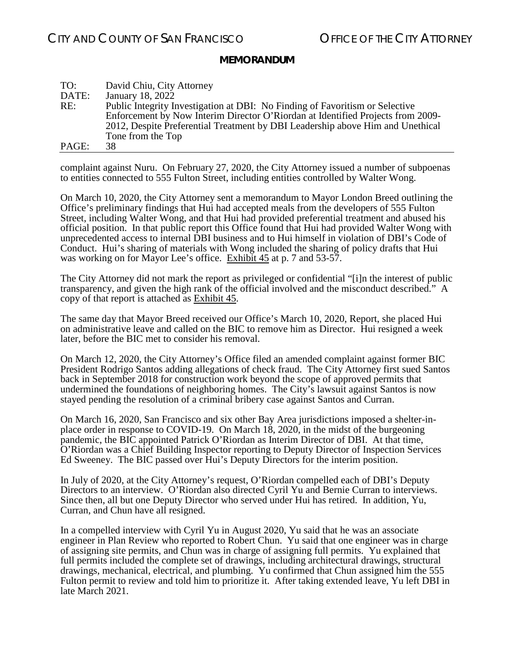| TO:   | David Chiu, City Attorney                                                       |
|-------|---------------------------------------------------------------------------------|
| DATE: | January 18, 2022                                                                |
| RE:   | Public Integrity Investigation at DBI: No Finding of Favoritism or Selective    |
|       | Enforcement by Now Interim Director O'Riordan at Identified Projects from 2009- |
|       | 2012, Despite Preferential Treatment by DBI Leadership above Him and Unethical  |
|       | Tone from the Top                                                               |
| PAGE: | 38                                                                              |

complaint against Nuru. On February 27, 2020, the City Attorney issued a number of subpoenas to entities connected to 555 Fulton Street, including entities controlled by Walter Wong.

On March 10, 2020, the City Attorney sent a memorandum to Mayor London Breed outlining the Office's preliminary findings that Hui had accepted meals from the developers of 555 Fulton Street, including Walter Wong, and that Hui had provided preferential treatment and abused his official position. In that public report this Office found that Hui had provided Walter Wong with unprecedented access to internal DBI business and to Hui himself in violation of DBI's Code of Conduct. Hui's sharing of materials with Wong included the sharing of policy drafts that Hui was working on for Mayor Lee's office. Exhibit 45 at p. 7 and 53-57.

The City Attorney did not mark the report as privileged or confidential "[i]n the interest of public transparency, and given the high rank of the official involved and the misconduct described." A copy of that report is attached as Exhibit 45.

The same day that Mayor Breed received our Office's March 10, 2020, Report, she placed Hui on administrative leave and called on the BIC to remove him as Director. Hui resigned a week later, before the BIC met to consider his removal.

On March 12, 2020, the City Attorney's Office filed an amended complaint against former BIC President Rodrigo Santos adding allegations of check fraud. The City Attorney first sued Santos back in September 2018 for construction work beyond the scope of approved permits that undermined the foundations of neighboring homes. The City's lawsuit against Santos is now stayed pending the resolution of a criminal bribery case against Santos and Curran.

On March 16, 2020, San Francisco and six other Bay Area jurisdictions imposed a shelter-inplace order in response to COVID-19. On March 18, 2020, in the midst of the burgeoning pandemic, the BIC appointed Patrick O'Riordan as Interim Director of DBI. At that time, O'Riordan was a Chief Building Inspector reporting to Deputy Director of Inspection Services Ed Sweeney. The BIC passed over Hui's Deputy Directors for the interim position.

In July of 2020, at the City Attorney's request, O'Riordan compelled each of DBI's Deputy Directors to an interview. O'Riordan also directed Cyril Yu and Bernie Curran to interviews. Since then, all but one Deputy Director who served under Hui has retired. In addition, Yu, Curran, and Chun have all resigned.

In a compelled interview with Cyril Yu in August 2020, Yu said that he was an associate engineer in Plan Review who reported to Robert Chun. Yu said that one engineer was in charge of assigning site permits, and Chun was in charge of assigning full permits. Yu explained that full permits included the complete set of drawings, including architectural drawings, structural drawings, mechanical, electrical, and plumbing. Yu confirmed that Chun assigned him the 555 Fulton permit to review and told him to prioritize it. After taking extended leave, Yu left DBI in late March 2021.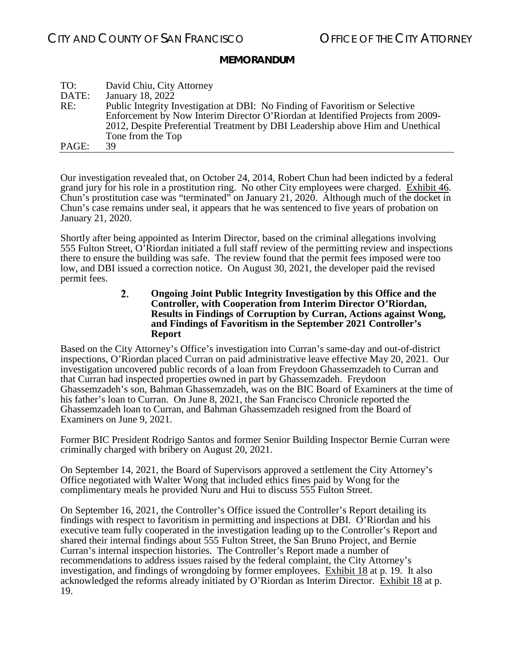| TO:   | David Chiu, City Attorney                                                       |
|-------|---------------------------------------------------------------------------------|
| DATE: | January 18, 2022                                                                |
| RE:   | Public Integrity Investigation at DBI: No Finding of Favoritism or Selective    |
|       | Enforcement by Now Interim Director O'Riordan at Identified Projects from 2009- |
|       | 2012, Despite Preferential Treatment by DBI Leadership above Him and Unethical  |
|       | Tone from the Top                                                               |
| PAGE: | 39                                                                              |

Our investigation revealed that, on October 24, 2014, Robert Chun had been indicted by a federal grand jury for his role in a prostitution ring. No other City employees were charged. Exhibit 46. Chun's prostitution case was "terminated" on January 21, 2020. Although much of the docket in Chun's case remains under seal, it appears that he was sentenced to five years of probation on January 21, 2020.

<span id="page-38-0"></span>Shortly after being appointed as Interim Director, based on the criminal allegations involving 555 Fulton Street, O'Riordan initiated a full staff review of the permitting review and inspections there to ensure the building was safe. The review found that the permit fees imposed were too low, and DBI issued a correction notice. On August 30, 2021, the developer paid the revised permit fees.

> $2.$ **Ongoing Joint Public Integrity Investigation by this Office and the Controller, with Cooperation from Interim Director O'Riordan, Results in Findings of Corruption by Curran, Actions against Wong, and Findings of Favoritism in the September 2021 Controller's Report**

Based on the City Attorney's Office's investigation into Curran's same-day and out-of-district inspections, O'Riordan placed Curran on paid administrative leave effective May 20, 2021. Our investigation uncovered public records of a loan from Freydoon Ghassemzadeh to Curran and that Curran had inspected properties owned in part by Ghassemzadeh. Freydoon Ghassemzadeh's son, Bahman Ghassemzadeh, was on the BIC Board of Examiners at the time of his father's loan to Curran. On June 8, 2021, the San Francisco Chronicle reported the Ghassemzadeh loan to Curran, and Bahman Ghassemzadeh resigned from the Board of Examiners on June 9, 2021.

Former BIC President Rodrigo Santos and former Senior Building Inspector Bernie Curran were criminally charged with bribery on August 20, 2021.

On September 14, 2021, the Board of Supervisors approved a settlement the City Attorney's Office negotiated with Walter Wong that included ethics fines paid by Wong for the complimentary meals he provided Nuru and Hui to discuss 555 Fulton Street.

On September 16, 2021, the Controller's Office issued the Controller's Report detailing its findings with respect to favoritism in permitting and inspections at DBI. O'Riordan and his executive team fully cooperated in the investigation leading up to the Controller's Report and shared their internal findings about 555 Fulton Street, the San Bruno Project, and Bernie Curran's internal inspection histories. The Controller's Report made a number of recommendations to address issues raised by the federal complaint, the City Attorney's investigation, and findings of wrongdoing by former employees. Exhibit 18 at p. 19. It also acknowledged the reforms already initiated by O'Riordan as Interim Director. Exhibit 18 at p. 19.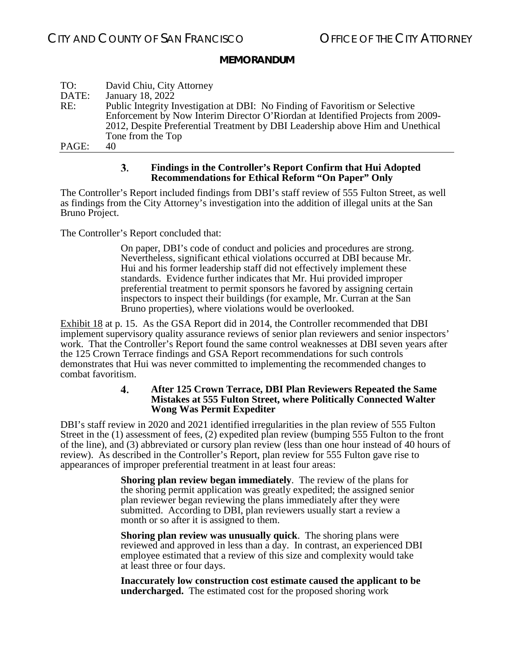| TO:   | David Chiu, City Attorney                                                       |
|-------|---------------------------------------------------------------------------------|
| DATE: | January 18, 2022                                                                |
| RE:   | Public Integrity Investigation at DBI: No Finding of Favoritism or Selective    |
|       | Enforcement by Now Interim Director O'Riordan at Identified Projects from 2009- |
|       | 2012, Despite Preferential Treatment by DBI Leadership above Him and Unethical  |
|       | Tone from the Top                                                               |
| PAGE: | 40                                                                              |

#### 3. **Findings in the Controller's Report Confirm that Hui Adopted Recommendations for Ethical Reform "On Paper" Only**

<span id="page-39-0"></span>The Controller's Report included findings from DBI's staff review of 555 Fulton Street, as well as findings from the City Attorney's investigation into the addition of illegal units at the San Bruno Project.

The Controller's Report concluded that:

On paper, DBI's code of conduct and policies and procedures are strong. Nevertheless, significant ethical violations occurred at DBI because Mr. Hui and his former leadership staff did not effectively implement these standards. Evidence further indicates that Mr. Hui provided improper preferential treatment to permit sponsors he favored by assigning certain inspectors to inspect their buildings (for example, Mr. Curran at the San Bruno properties), where violations would be overlooked.

Exhibit 18 at p. 15. As the GSA Report did in 2014, the Controller recommended that DBI implement supervisory quality assurance reviews of senior plan reviewers and senior inspectors' work. That the Controller's Report found the same control weaknesses at DBI seven years after the 125 Crown Terrace findings and GSA Report recommendations for such controls demonstrates that Hui was never committed to implementing the recommended changes to combat favoritism.

#### 4. **After 125 Crown Terrace, DBI Plan Reviewers Repeated the Same Mistakes at 555 Fulton Street, where Politically Connected Walter Wong Was Permit Expediter**

<span id="page-39-1"></span>DBI's staff review in 2020 and 2021 identified irregularities in the plan review of 555 Fulton Street in the (1) assessment of fees, (2) expedited plan review (bumping 555 Fulton to the front of the line), and (3) abbreviated or cursory plan review (less than one hour instead of 40 hours of review). As described in the Controller's Report, plan review for 555 Fulton gave rise to appearances of improper preferential treatment in at least four areas:

> **Shoring plan review began immediately**. The review of the plans for the shoring permit application was greatly expedited; the assigned senior plan reviewer began reviewing the plans immediately after they were submitted. According to DBI, plan reviewers usually start a review a month or so after it is assigned to them.

**Shoring plan review was unusually quick**. The shoring plans were reviewed and approved in less than a day. In contrast, an experienced DBI employee estimated that a review of this size and complexity would take at least three or four days.

**Inaccurately low construction cost estimate caused the applicant to be undercharged.** The estimated cost for the proposed shoring work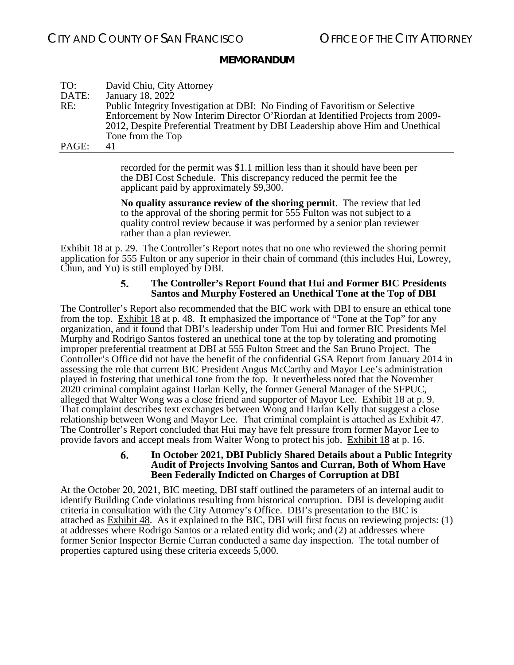| TO:   | David Chiu, City Attorney                                                       |
|-------|---------------------------------------------------------------------------------|
| DATE: | January 18, 2022                                                                |
| RE:   | Public Integrity Investigation at DBI: No Finding of Favoritism or Selective    |
|       | Enforcement by Now Interim Director O'Riordan at Identified Projects from 2009- |
|       | 2012, Despite Preferential Treatment by DBI Leadership above Him and Unethical  |
|       | Tone from the Top                                                               |
| PAGE: | 41                                                                              |

recorded for the permit was \$1.1 million less than it should have been per the DBI Cost Schedule. This discrepancy reduced the permit fee the applicant paid by approximately \$9,300.

**No quality assurance review of the shoring permit**. The review that led to the approval of the shoring permit for 555 Fulton was not subject to a quality control review because it was performed by a senior plan reviewer rather than a plan reviewer.

<span id="page-40-0"></span>Exhibit 18 at p. 29. The Controller's Report notes that no one who reviewed the shoring permit application for 555 Fulton or any superior in their chain of command (this includes Hui, Lowrey, Chun, and Yu) is still employed by DBI.

#### 5. **The Controller's Report Found that Hui and Former BIC Presidents Santos and Murphy Fostered an Unethical Tone at the Top of DBI**

The Controller's Report also recommended that the BIC work with DBI to ensure an ethical tone from the top. Exhibit 18 at p. 48. It emphasized the importance of "Tone at the Top" for any organization, and it found that DBI's leadership under Tom Hui and former BIC Presidents Mel Murphy and Rodrigo Santos fostered an unethical tone at the top by tolerating and promoting improper preferential treatment at DBI at 555 Fulton Street and the San Bruno Project. The Controller's Office did not have the benefit of the confidential GSA Report from January 2014 in assessing the role that current BIC President Angus McCarthy and Mayor Lee's administration played in fostering that unethical tone from the top. It nevertheless noted that the November 2020 criminal complaint against Harlan Kelly, the former General Manager of the SFPUC, alleged that Walter Wong was a close friend and supporter of Mayor Lee. Exhibit 18 at p. 9. That complaint describes text exchanges between Wong and Harlan Kelly that suggest a close relationship between Wong and Mayor Lee. That criminal complaint is attached as Exhibit 47. The Controller's Report concluded that Hui may have felt pressure from former Mayor Lee to provide favors and accept meals from Walter Wong to protect his job. Exhibit 18 at p. 16.

#### **In October 2021, DBI Publicly Shared Details about a Public Integrity**  6. **Audit of Projects Involving Santos and Curran, Both of Whom Have Been Federally Indicted on Charges of Corruption at DBI**

<span id="page-40-1"></span>At the October 20, 2021, BIC meeting, DBI staff outlined the parameters of an internal audit to identify Building Code violations resulting from historical corruption. DBI is developing audit criteria in consultation with the City Attorney's Office. DBI's presentation to the BIC is attached as Exhibit 48. As it explained to the BIC, DBI will first focus on reviewing projects: (1) at addresses where Rodrigo Santos or a related entity did work; and (2) at addresses where former Senior Inspector Bernie Curran conducted a same day inspection. The total number of properties captured using these criteria exceeds 5,000.